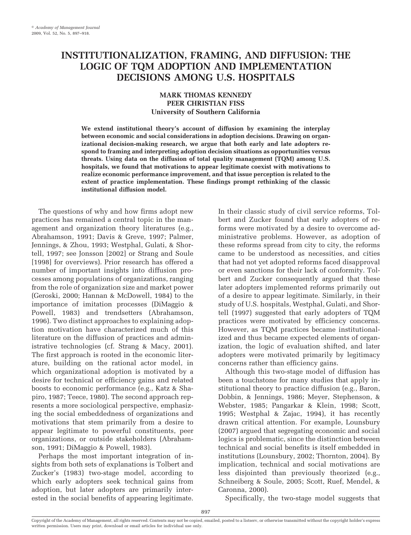# **INSTITUTIONALIZATION, FRAMING, AND DIFFUSION: THE LOGIC OF TQM ADOPTION AND IMPLEMENTATION DECISIONS AMONG U.S. HOSPITALS**

## **MARK THOMAS KENNEDY PEER CHRISTIAN FISS University of Southern California**

**We extend institutional theory's account of diffusion by examining the interplay between economic and social considerations in adoption decisions. Drawing on organizational decision-making research, we argue that both early and late adopters respond to framing and interpreting adoption decision situations as opportunities versus threats. Using data on the diffusion of total quality management (TQM) among U.S. hospitals, we found that motivations to appear legitimate coexist with motivations to realize economic performance improvement, and that issue perception is related to the extent of practice implementation. These findings prompt rethinking of the classic institutional diffusion model.**

The questions of why and how firms adopt new practices has remained a central topic in the management and organization theory literatures (e.g., Abrahamson, 1991; Davis & Greve, 1997; Palmer, Jennings, & Zhou, 1993; Westphal, Gulati, & Shortell, 1997; see Jonsson [2002] or Strang and Soule [1998] for overviews). Prior research has offered a number of important insights into diffusion processes among populations of organizations, ranging from the role of organization size and market power (Geroski, 2000; Hannan & McDowell, 1984) to the importance of imitation processes (DiMaggio & Powell, 1983) and trendsetters (Abrahamson, 1996). Two distinct approaches to explaining adoption motivation have characterized much of this literature on the diffusion of practices and administrative technologies (cf. Strang & Macy, 2001). The first approach is rooted in the economic literature, building on the rational actor model, in which organizational adoption is motivated by a desire for technical or efficiency gains and related boosts to economic performance (e.g., Katz & Shapiro, 1987; Teece, 1980). The second approach represents a more sociological perspective, emphasizing the social embeddedness of organizations and motivations that stem primarily from a desire to appear legitimate to powerful constituents, peer organizations, or outside stakeholders (Abrahamson, 1991; DiMaggio & Powell, 1983).

Perhaps the most important integration of insights from both sets of explanations is Tolbert and Zucker's (1983) two-stage model, according to which early adopters seek technical gains from adoption, but later adopters are primarily interested in the social benefits of appearing legitimate.

In their classic study of civil service reforms, Tolbert and Zucker found that early adopters of reforms were motivated by a desire to overcome administrative problems. However, as adoption of these reforms spread from city to city, the reforms came to be understood as necessities, and cities that had not yet adopted reforms faced disapproval or even sanctions for their lack of conformity. Tolbert and Zucker consequently argued that these later adopters implemented reforms primarily out of a desire to appear legitimate. Similarly, in their study of U.S. hospitals, Westphal, Gulati, and Shortell (1997) suggested that early adopters of TQM practices were motivated by efficiency concerns. However, as TQM practices became institutionalized and thus became expected elements of organization, the logic of evaluation shifted, and later adopters were motivated primarily by legitimacy concerns rather than efficiency gains.

Although this two-stage model of diffusion has been a touchstone for many studies that apply institutional theory to practice diffusion (e.g., Baron, Dobbin, & Jennings, 1986; Meyer, Stephenson, & Webster, 1985; Pangarkar & Klein, 1998; Scott, 1995; Westphal & Zajac, 1994), it has recently drawn critical attention. For example, Lounsbury (2007) argued that segregating economic and social logics is problematic, since the distinction between technical and social benefits is itself embedded in institutions (Lounsbury, 2002; Thornton, 2004). By implication, technical and social motivations are less disjointed than previously theorized (e.g., Schneiberg & Soule, 2005; Scott, Ruef, Mendel, & Caronna, 2000).

Specifically, the two-stage model suggests that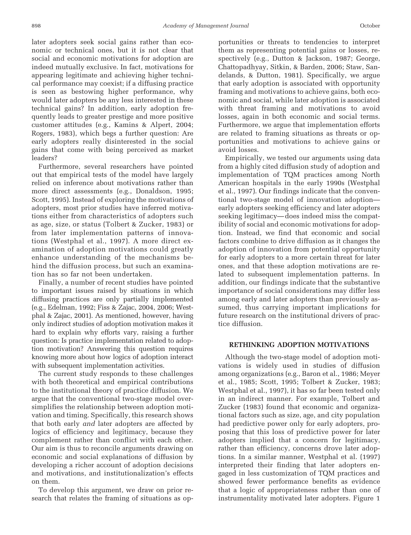later adopters seek social gains rather than economic or technical ones, but it is not clear that social and economic motivations for adoption are indeed mutually exclusive. In fact, motivations for appearing legitimate and achieving higher technical performance may coexist; if a diffusing practice is seen as bestowing higher performance, why would later adopters be any less interested in these technical gains? In addition, early adoption frequently leads to greater prestige and more positive customer attitudes (e.g., Kamins & Alpert, 2004; Rogers, 1983), which begs a further question: Are early adopters really disinterested in the social gains that come with being perceived as market leaders?

Furthermore, several researchers have pointed out that empirical tests of the model have largely relied on inference about motivations rather than more direct assessments (e.g., Donaldson, 1995; Scott, 1995). Instead of exploring the motivations of adopters, most prior studies have inferred motivations either from characteristics of adopters such as age, size, or status (Tolbert & Zucker, 1983) or from later implementation patterns of innovations (Westphal et al., 1997). A more direct examination of adoption motivations could greatly enhance understanding of the mechanisms behind the diffusion process, but such an examination has so far not been undertaken.

Finally, a number of recent studies have pointed to important issues raised by situations in which diffusing practices are only partially implemented (e.g., Edelman, 1992; Fiss & Zajac, 2004, 2006; Westphal & Zajac, 2001). As mentioned, however, having only indirect studies of adoption motivation makes it hard to explain why efforts vary, raising a further question: Is practice implementation related to adoption motivation? Answering this question requires knowing more about how logics of adoption interact with subsequent implementation activities.

The current study responds to these challenges with both theoretical and empirical contributions to the institutional theory of practice diffusion. We argue that the conventional two-stage model oversimplifies the relationship between adoption motivation and timing. Specifically, this research shows that both early *and* later adopters are affected by logics of efficiency and legitimacy, because they complement rather than conflict with each other. Our aim is thus to reconcile arguments drawing on economic and social explanations of diffusion by developing a richer account of adoption decisions and motivations, and institutionalization's effects on them.

To develop this argument, we draw on prior research that relates the framing of situations as opportunities or threats to tendencies to interpret them as representing potential gains or losses, respectively (e.g., Dutton & Jackson, 1987; George, Chattopadhyay, Sitkin, & Barden, 2006; Staw, Sandelands, & Dutton, 1981). Specifically, we argue that early adoption is associated with opportunity framing and motivations to achieve gains, both economic and social, while later adoption is associated with threat framing and motivations to avoid losses, again in both economic and social terms. Furthermore, we argue that implementation efforts are related to framing situations as threats or opportunities and motivations to achieve gains or avoid losses.

Empirically, we tested our arguments using data from a highly cited diffusion study of adoption and implementation of TQM practices among North American hospitals in the early 1990s (Westphal et al., 1997). Our findings indicate that the conventional two-stage model of innovation adoption early adopters seeking efficiency and later adopters seeking legitimacy—does indeed miss the compatibility of social and economic motivations for adoption. Instead, we find that economic and social factors combine to drive diffusion as it changes the adoption of innovation from potential opportunity for early adopters to a more certain threat for later ones, and that these adoption motivations are related to subsequent implementation patterns. In addition, our findings indicate that the substantive importance of social considerations may differ less among early and later adopters than previously assumed, thus carrying important implications for future research on the institutional drivers of practice diffusion.

## **RETHINKING ADOPTION MOTIVATIONS**

Although the two-stage model of adoption motivations is widely used in studies of diffusion among organizations (e.g., Baron et al., 1986; Meyer et al., 1985; Scott, 1995; Tolbert & Zucker, 1983; Westphal et al., 1997), it has so far been tested only in an indirect manner. For example, Tolbert and Zucker (1983) found that economic and organizational factors such as size, age, and city population had predictive power only for early adopters, proposing that this loss of predictive power for later adopters implied that a concern for legitimacy, rather than efficiency, concerns drove later adoptions. In a similar manner, Westphal et al. (1997) interpreted their finding that later adopters engaged in less customization of TQM practices and showed fewer performance benefits as evidence that a logic of appropriateness rather than one of instrumentality motivated later adopters. Figure 1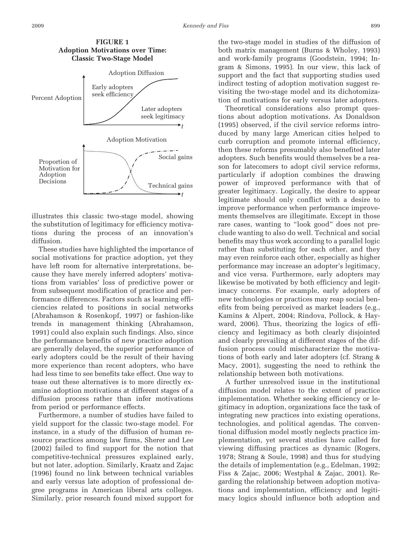

illustrates this classic two-stage model, showing the substitution of legitimacy for efficiency motivations during the process of an innovation's diffusion.

These studies have highlighted the importance of social motivations for practice adoption, yet they have left room for alternative interpretations, because they have merely inferred adopters' motivations from variables' loss of predictive power or from subsequent modification of practice and performance differences. Factors such as learning efficiencies related to positions in social networks (Abrahamson & Rosenkopf, 1997) or fashion-like trends in management thinking (Abrahamson, 1991) could also explain such findings. Also, since the performance benefits of new practice adoption are generally delayed, the superior performance of early adopters could be the result of their having more experience than recent adopters, who have had less time to see benefits take effect. One way to tease out these alternatives is to more directly examine adoption motivations at different stages of a diffusion process rather than infer motivations from period or performance effects.

Furthermore, a number of studies have failed to yield support for the classic two-stage model. For instance, in a study of the diffusion of human resource practices among law firms, Sherer and Lee (2002) failed to find support for the notion that competitive-technical pressures explained early, but not later, adoption. Similarly, Kraatz and Zajac (1996) found no link between technical variables and early versus late adoption of professional degree programs in American liberal arts colleges. Similarly, prior research found mixed support for

the two-stage model in studies of the diffusion of both matrix management (Burns & Wholey, 1993) and work-family programs (Goodstein, 1994; Ingram & Simons, 1995). In our view, this lack of support and the fact that supporting studies used indirect testing of adoption motivation suggest revisiting the two-stage model and its dichotomization of motivations for early versus later adopters.

Theoretical considerations also prompt questions about adoption motivations. As Donaldson (1995) observed, if the civil service reforms introduced by many large American cities helped to curb corruption and promote internal efficiency, then these reforms presumably also benefited later adopters. Such benefits would themselves be a reason for latecomers to adopt civil service reforms, particularly if adoption combines the drawing power of improved performance with that of greater legitimacy. Logically, the desire to appear legitimate should only conflict with a desire to improve performance when performance improvements themselves are illegitimate. Except in those rare cases, wanting to "look good" does not preclude wanting to also do well. Technical and social benefits may thus work according to a parallel logic rather than substituting for each other, and they may even reinforce each other, especially as higher performance may increase an adopter's legitimacy, and vice versa. Furthermore, early adopters may likewise be motivated by both efficiency and legitimacy concerns. For example, early adopters of new technologies or practices may reap social benefits from being perceived as market leaders (e.g., Kamins & Alpert, 2004; Rindova, Pollock, & Hayward, 2006). Thus, theorizing the logics of efficiency and legitimacy as both clearly disjointed and clearly prevailing at different stages of the diffusion process could mischaracterize the motivations of both early and later adopters (cf. Strang & Macy, 2001), suggesting the need to rethink the relationship between both motivations.

A further unresolved issue in the institutional diffusion model relates to the extent of practice implementation. Whether seeking efficiency or legitimacy in adoption, organizations face the task of integrating new practices into existing operations, technologies, and political agendas. The conventional diffusion model mostly neglects practice implementation, yet several studies have called for viewing diffusing practices as dynamic (Rogers, 1978; Strang & Soule, 1998) and thus for studying the details of implementation (e.g., Edelman, 1992; Fiss & Zajac, 2006; Westphal & Zajac, 2001). Regarding the relationship between adoption motivations and implementation, efficiency and legitimacy logics should influence both adoption and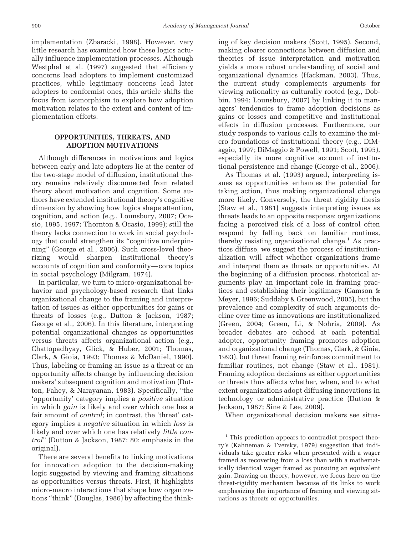implementation (Zbaracki, 1998). However, very little research has examined how these logics actually influence implementation processes. Although Westphal et al. (1997) suggested that efficiency concerns lead adopters to implement customized practices, while legitimacy concerns lead later adopters to conformist ones, this article shifts the focus from isomorphism to explore how adoption motivation relates to the extent and content of implementation efforts.

## **OPPORTUNITIES, THREATS, AND ADOPTION MOTIVATIONS**

Although differences in motivations and logics between early and late adopters lie at the center of the two-stage model of diffusion, institutional theory remains relatively disconnected from related theory about motivation and cognition. Some authors have extended institutional theory's cognitive dimension by showing how logics shape attention, cognition, and action (e.g., Lounsbury, 2007; Ocasio, 1995, 1997; Thornton & Ocasio, 1999); still the theory lacks connection to work in social psychology that could strengthen its "cognitive underpinning" (George et al., 2006). Such cross-level theorizing would sharpen institutional theory's accounts of cognition and conformity—core topics in social psychology (Milgram, 1974).

In particular, we turn to micro-organizational behavior and psychology-based research that links organizational change to the framing and interpretation of issues as either opportunities for gains or threats of losses (e.g., Dutton & Jackson, 1987; George et al., 2006). In this literature, interpreting potential organizational changes as opportunities versus threats affects organizational action (e.g., Chattopadhyay, Glick, & Huber, 2001; Thomas, Clark, & Gioia, 1993; Thomas & McDaniel, 1990). Thus, labeling or framing an issue as a threat or an opportunity affects change by influencing decision makers' subsequent cognition and motivation (Dutton, Fahey, & Narayanan, 1983). Specifically, "the 'opportunity' category implies a *positive* situation in which *gain* is likely and over which one has a fair amount of *control*; in contrast, the 'threat' category implies a *negative* situation in which *loss* is likely and over which one has relatively *little control*" (Dutton & Jackson, 1987: 80; emphasis in the original).

There are several benefits to linking motivations for innovation adoption to the decision-making logic suggested by viewing and framing situations as opportunities versus threats. First, it highlights micro-macro interactions that shape how organizations "think" (Douglas, 1986) by affecting the thinking of key decision makers (Scott, 1995). Second, making clearer connections between diffusion and theories of issue interpretation and motivation yields a more robust understanding of social and organizational dynamics (Hackman, 2003). Thus, the current study complements arguments for viewing rationality as culturally rooted (e.g., Dobbin, 1994; Lounsbury, 2007) by linking it to managers' tendencies to frame adoption decisions as gains or losses and competitive and institutional effects in diffusion processes. Furthermore, our study responds to various calls to examine the micro foundations of institutional theory (e.g., DiMaggio, 1997; DiMaggio & Powell, 1991; Scott, 1995), especially its more cognitive account of institu-

tional persistence and change (George et al., 2006). As Thomas et al. (1993) argued, interpreting issues as opportunities enhances the potential for taking action, thus making organizational change more likely. Conversely, the threat rigidity thesis (Staw et al., 1981) suggests interpreting issues as threats leads to an opposite response: organizations facing a perceived risk of a loss of control often respond by falling back on familiar routines, thereby resisting organizational change.<sup>1</sup> As practices diffuse, we suggest the process of institutionalization will affect whether organizations frame and interpret them as threats or opportunities. At the beginning of a diffusion process, rhetorical arguments play an important role in framing practices and establishing their legitimacy (Gamson & Meyer, 1996; Suddaby & Greenwood, 2005), but the prevalence and complexity of such arguments decline over time as innovations are institutionalized (Green, 2004; Green, Li, & Nohria, 2009). As broader debates are echoed at each potential adopter, opportunity framing promotes adoption and organizational change (Thomas, Clark, & Gioia, 1993), but threat framing reinforces commitment to familiar routines, not change (Staw et al., 1981). Framing adoption decisions as either opportunities or threats thus affects whether, when, and to what extent organizations adopt diffusing innovations in technology or administrative practice (Dutton & Jackson, 1987; Sine & Lee, 2009).

When organizational decision makers see situa-

<sup>&</sup>lt;sup>1</sup> This prediction appears to contradict prospect theory's (Kahneman & Tversky, 1979) suggestion that individuals take greater risks when presented with a wager framed as recovering from a loss than with a mathematically identical wager framed as pursuing an equivalent gain. Drawing on theory, however, we focus here on the threat-rigidity mechanism because of its links to work emphasizing the importance of framing and viewing situations as threats or opportunities.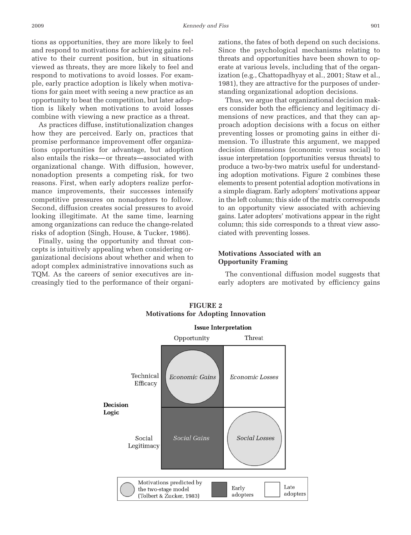tions as opportunities, they are more likely to feel and respond to motivations for achieving gains relative to their current position, but in situations viewed as threats, they are more likely to feel and respond to motivations to avoid losses. For example, early practice adoption is likely when motivations for gain meet with seeing a new practice as an opportunity to beat the competition, but later adoption is likely when motivations to avoid losses combine with viewing a new practice as a threat.

As practices diffuse, institutionalization changes how they are perceived. Early on, practices that promise performance improvement offer organizations opportunities for advantage, but adoption also entails the risks—or threats—associated with organizational change. With diffusion, however, nonadoption presents a competing risk, for two reasons. First, when early adopters realize performance improvements, their successes intensify competitive pressures on nonadopters to follow. Second, diffusion creates social pressures to avoid looking illegitimate. At the same time, learning among organizations can reduce the change-related risks of adoption (Singh, House, & Tucker, 1986).

Finally, using the opportunity and threat concepts is intuitively appealing when considering organizational decisions about whether and when to adopt complex administrative innovations such as TQM. As the careers of senior executives are increasingly tied to the performance of their organizations, the fates of both depend on such decisions. Since the psychological mechanisms relating to threats and opportunities have been shown to operate at various levels, including that of the organization (e.g., Chattopadhyay et al., 2001; Staw et al., 1981), they are attractive for the purposes of understanding organizational adoption decisions.

Thus, we argue that organizational decision makers consider both the efficiency and legitimacy dimensions of new practices, and that they can approach adoption decisions with a focus on either preventing losses or promoting gains in either dimension. To illustrate this argument, we mapped decision dimensions (economic versus social) to issue interpretation (opportunities versus threats) to produce a two-by-two matrix useful for understanding adoption motivations. Figure 2 combines these elements to present potential adoption motivations in a simple diagram. Early adopters' motivations appear in the left column; this side of the matrix corresponds to an opportunity view associated with achieving gains. Later adopters' motivations appear in the right column; this side corresponds to a threat view associated with preventing losses.

## **Motivations Associated with an Opportunity Framing**

The conventional diffusion model suggests that early adopters are motivated by efficiency gains



## **FIGURE 2 Motivations for Adopting Innovation**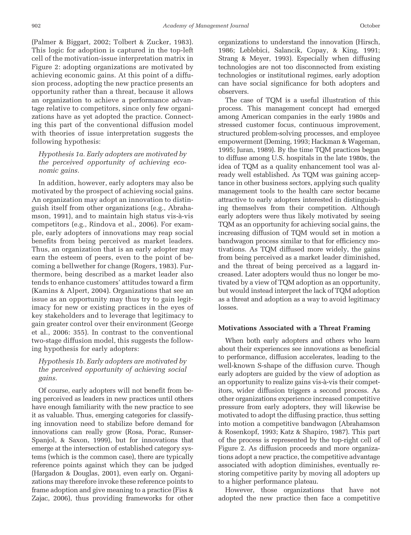(Palmer & Biggart, 2002; Tolbert & Zucker, 1983). This logic for adoption is captured in the top-left cell of the motivation-issue interpretation matrix in Figure 2: adopting organizations are motivated by achieving economic gains. At this point of a diffusion process, adopting the new practice presents an opportunity rather than a threat, because it allows an organization to achieve a performance advantage relative to competitors, since only few organizations have as yet adopted the practice. Connecting this part of the conventional diffusion model with theories of issue interpretation suggests the following hypothesis:

## *Hypothesis 1a. Early adopters are motivated by the perceived opportunity of achieving economic gains.*

In addition, however, early adopters may also be motivated by the prospect of achieving social gains. An organization may adopt an innovation to distinguish itself from other organizations (e.g., Abrahamson, 1991), and to maintain high status vis-à-vis competitors (e.g., Rindova et al., 2006). For example, early adopters of innovations may reap social benefits from being perceived as market leaders. Thus, an organization that is an early adopter may earn the esteem of peers, even to the point of becoming a bellwether for change (Rogers, 1983). Furthermore, being described as a market leader also tends to enhance customers' attitudes toward a firm (Kamins & Alpert, 2004). Organizations that see an issue as an opportunity may thus try to gain legitimacy for new or existing practices in the eyes of key stakeholders and to leverage that legitimacy to gain greater control over their environment (George et al., 2006: 355). In contrast to the conventional two-stage diffusion model, this suggests the following hypothesis for early adopters:

## *Hypothesis 1b. Early adopters are motivated by the perceived opportunity of achieving social gains.*

Of course, early adopters will not benefit from being perceived as leaders in new practices until others have enough familiarity with the new practice to see it as valuable. Thus, emerging categories for classifying innovation need to stabilize before demand for innovations can really grow (Rosa, Porac, Runser-Spanjol, & Saxon, 1999), but for innovations that emerge at the intersection of established category systems (which is the common case), there are typically reference points against which they can be judged (Hargadon & Douglas, 2001), even early on. Organizations may therefore invoke these reference points to frame adoption and give meaning to a practice (Fiss & Zajac, 2006), thus providing frameworks for other

organizations to understand the innovation (Hirsch, 1986; Leblebici, Salancik, Copay, & King, 1991; Strang & Meyer, 1993). Especially when diffusing technologies are not too disconnected from existing technologies or institutional regimes, early adoption can have social significance for both adopters and observers.

The case of TQM is a useful illustration of this process. This management concept had emerged among American companies in the early 1980s and stressed customer focus, continuous improvement, structured problem-solving processes, and employee empowerment (Deming, 1993; Hackman & Wageman, 1995; Juran, 1989). By the time TQM practices began to diffuse among U.S. hospitals in the late 1980s, the idea of TQM as a quality enhancement tool was already well established. As TQM was gaining acceptance in other business sectors, applying such quality management tools to the health care sector became attractive to early adopters interested in distinguishing themselves from their competition. Although early adopters were thus likely motivated by seeing TQM as an opportunity for achieving social gains, the increasing diffusion of TQM would set in motion a bandwagon process similar to that for efficiency motivations. As TQM diffused more widely, the gains from being perceived as a market leader diminished, and the threat of being perceived as a laggard increased. Later adopters would thus no longer be motivated by a view of TQM adoption as an opportunity, but would instead interpret the lack of TQM adoption as a threat and adoption as a way to avoid legitimacy losses.

#### **Motivations Associated with a Threat Framing**

When both early adopters and others who learn about their experiences see innovations as beneficial to performance, diffusion accelerates, leading to the well-known S-shape of the diffusion curve. Though early adopters are guided by the view of adoption as an opportunity to realize gains vis-à-vis their competitors, wider diffusion triggers a second process. As other organizations experience increased competitive pressure from early adopters, they will likewise be motivated to adopt the diffusing practice, thus setting into motion a competitive bandwagon (Abrahamson & Rosenkopf, 1993; Katz & Shapiro, 1987). This part of the process is represented by the top-right cell of Figure 2. As diffusion proceeds and more organizations adopt a new practice, the competitive advantage associated with adoption diminishes, eventually restoring competitive parity by moving all adopters up to a higher performance plateau.

However, those organizations that have not adopted the new practice then face a competitive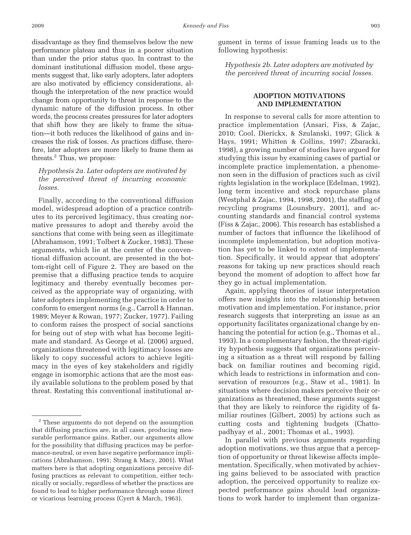disadvantage as they find themselves below the new performance plateau and thus in a poorer situation than under the prior status quo. In contrast to the dominant institutional diffusion model, these arguments suggest that, like early adopters, later adopters are also motivated by efficiency considerations, although the interpretation of the new practice would change from opportunity to threat in response to the dynamic nature of the diffusion process. In other words, the process creates pressures for later adopters that shift how they are likely to frame the situation—it both reduces the likelihood of gains and increases the risk of losses. As practices diffuse, therefore, later adopters are more likely to frame them as threats.<sup>2</sup> Thus, we propose:

## *Hypothesis 2a. Later adopters are motivated by the perceived threat of incurring economic losses.*

Finally, according to the conventional diffusion model, widespread adoption of a practice contributes to its perceived legitimacy, thus creating normative pressures to adopt and thereby avoid the sanctions that come with being seen as illegitimate (Abrahamson, 1991; Tolbert & Zucker, 1983). These arguments, which lie at the center of the conventional diffusion account, are presented in the bottom-right cell of Figure 2. They are based on the premise that a diffusing practice tends to acquire legitimacy and thereby eventually becomes perceived as the appropriate way of organizing, with later adopters implementing the practice in order to conform to emergent norms (e.g., Carroll & Hannan, 1989; Meyer & Rowan, 1977; Zucker, 1977). Failing to conform raises the prospect of social sanctions for being out of step with what has become legitimate and standard. As George et al. (2006) argued, organizations threatened with legitimacy losses are likely to copy successful actors to achieve legitimacy in the eyes of key stakeholders and rigidly engage in isomorphic actions that are the most easily available solutions to the problem posed by that threat. Restating this conventional institutional argument in terms of issue framing leads us to the following hypothesis:

*Hypothesis 2b. Later adopters are motivated by the perceived threat of incurring social losses.*

#### **ADOPTION MOTIVATIONS AND IMPLEMENTATION**

In response to several calls for more attention to practice implementation (Ansari, Fiss, & Zajac, 2010; Cool, Dierickx, & Szulanski, 1997; Glick & Hays, 1991; Whitten & Collins, 1997; Zbaracki, 1998), a growing number of studies have argued for studying this issue by examining cases of partial or incomplete practice implementation, a phenomenon seen in the diffusion of practices such as civil rights legislation in the workplace (Edelman, 1992), long term incentive and stock repurchase plans (Westphal & Zajac, 1994, 1998, 2001), the staffing of recycling programs (Lounsbury, 2001), and accounting standards and financial control systems (Fiss & Zajac, 2006). This research has established a number of factors that influence the likelihood of incomplete implementation, but adoption motivation has yet to be linked to extent of implementation. Specifically, it would appear that adopters' reasons for taking up new practices should reach beyond the moment of adoption to affect how far they go in actual implementation.

Again, applying theories of issue interpretation offers new insights into the relationship between motivation and implementation. For instance, prior research suggests that interpreting an issue as an opportunity facilitates organizational change by enhancing the potential for action (e.g., Thomas et al., 1993). In a complementary fashion, the threat-rigidity hypothesis suggests that organizations perceiving a situation as a threat will respond by falling back on familiar routines and becoming rigid, which leads to restrictions in information and conservation of resources (e.g., Staw et al., 1981). In situations where decision makers perceive their organizations as threatened, these arguments suggest that they are likely to reinforce the rigidity of familiar routines (Gilbert, 2005) by actions such as cutting costs and tightening budgets (Chattopadhyay et al., 2001; Thomas et al., 1993).

In parallel with previous arguments regarding adoption motivations, we thus argue that a perception of opportunity or threat likewise affects implementation. Specifically, when motivated by achieving gains believed to be associated with practice adoption, the perceived opportunity to realize expected performance gains should lead organizations to work harder to implement than organiza-

<sup>2</sup> These arguments do not depend on the assumption that diffusing practices are, in all cases, producing measurable performance gains. Rather, our arguments allow for the possibility that diffusing practices may be performance-neutral, or even have negative performance implications (Abrahamson, 1991; Strang & Macy, 2001). What matters here is that adopting organizations perceive diffusing practices as relevant to competition, either technically or socially, regardless of whether the practices are found to lead to higher performance through some direct or vicarious learning process (Cyert & March, 1963).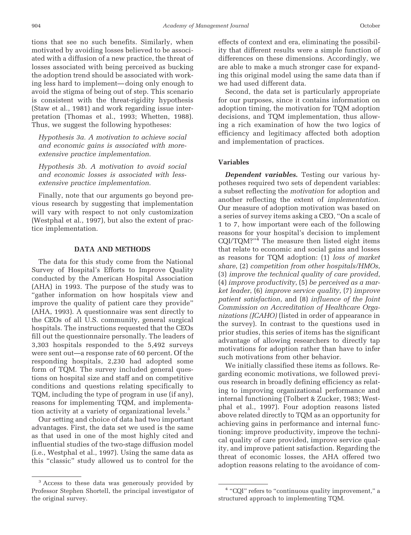tions that see no such benefits. Similarly, when motivated by avoiding losses believed to be associated with a diffusion of a new practice, the threat of losses associated with being perceived as bucking the adoption trend should be associated with working less hard to implement—doing only enough to avoid the stigma of being out of step. This scenario is consistent with the threat-rigidity hypothesis (Staw et al., 1981) and work regarding issue interpretation (Thomas et al., 1993; Whetten, 1988). Thus, we suggest the following hypotheses:

*Hypothesis 3a. A motivation to achieve social and economic gains is associated with moreextensive practice implementation.*

*Hypothesis 3b. A motivation to avoid social and economic losses is associated with lessextensive practice implementation.*

Finally, note that our arguments go beyond previous research by suggesting that implementation will vary with respect to not only customization (Westphal et al., 1997), but also the extent of practice implementation.

#### **DATA AND METHODS**

The data for this study come from the National Survey of Hospital's Efforts to Improve Quality conducted by the American Hospital Association (AHA) in 1993. The purpose of the study was to "gather information on how hospitals view and improve the quality of patient care they provide" (AHA, 1993). A questionnaire was sent directly to the CEOs of all U.S. community, general surgical hospitals. The instructions requested that the CEOs fill out the questionnaire personally. The leaders of 3,303 hospitals responded to the 5,492 surveys were sent out—a response rate of 60 percent. Of the responding hospitals, 2,230 had adopted some form of TQM. The survey included general questions on hospital size and staff and on competitive conditions and questions relating specifically to TQM, including the type of program in use (if any), reasons for implementing TQM, and implementation activity at a variety of organizational levels.<sup>3</sup>

Our setting and choice of data had two important advantages. First, the data set we used is the same as that used in one of the most highly cited and influential studies of the two-stage diffusion model (i.e., Westphal et al., 1997). Using the same data as this "classic" study allowed us to control for the

<sup>3</sup> Access to these data was generously provided by Professor Stephen Shortell, the principal investigator of the original survey.

effects of context and era, eliminating the possibility that different results were a simple function of differences on these dimensions. Accordingly, we are able to make a much stronger case for expanding this original model using the same data than if we had used different data.

Second, the data set is particularly appropriate for our purposes, since it contains information on adoption timing, the motivation for TQM adoption decisions, and TQM implementation, thus allowing a rich examination of how the two logics of efficiency and legitimacy affected both adoption and implementation of practices.

## **Variables**

*Dependent variables.* Testing our various hypotheses required two sets of dependent variables: a subset reflecting the *motivation* for adoption and another reflecting the extent of *implementation.* Our measure of adoption motivation was based on a series of survey items asking a CEO, "On a scale of 1 to 7, how important were each of the following reasons for your hospital's decision to implement CQI/TQM?"4 The measure then listed eight items that relate to economic and social gains and losses as reasons for TQM adoption: (1) *loss of market share*, (2) *competition from other hospitals/HMOs*, (3) *improve the technical quality of care provided*, (4) *improve productivity*, (5) *be perceived as a market leader*, (6) *improve service quality*, (7) *improve patient satisfaction*, and (8) *influence of the Joint Commission on Accreditation of Healthcare Organizations (JCAHO)* (listed in order of appearance in the survey). In contrast to the questions used in prior studies, this series of items has the significant advantage of allowing researchers to directly tap motivations for adoption rather than have to infer such motivations from other behavior.

We initially classified these items as follows. Regarding economic motivations, we followed previous research in broadly defining efficiency as relating to improving organizational performance and internal functioning (Tolbert & Zucker, 1983; Westphal et al., 1997). Four adoption reasons listed above related directly to TQM as an opportunity for achieving gains in performance and internal functioning: improve productivity, improve the technical quality of care provided, improve service quality, and improve patient satisfaction. Regarding the threat of economic losses, the AHA offered two adoption reasons relating to the avoidance of com-

<sup>4</sup> "CQI" refers to "continuous quality improvement," a structured approach to implementing TQM.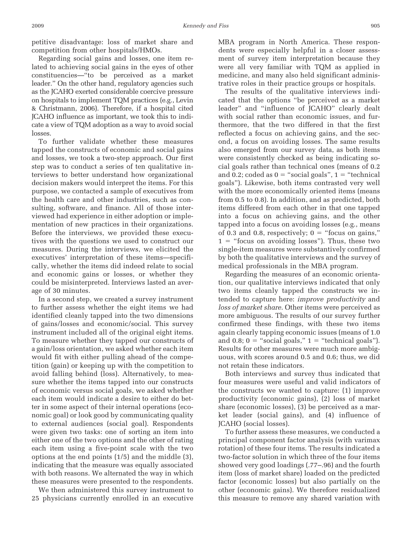petitive disadvantage: loss of market share and competition from other hospitals/HMOs.

Regarding social gains and losses, one item related to achieving social gains in the eyes of other constituencies—"to be perceived as a market leader." On the other hand, regulatory agencies such as the JCAHO exerted considerable coercive pressure on hospitals to implement TQM practices (e.g., Levin & Christmann, 2006). Therefore, if a hospital cited JCAHO influence as important, we took this to indicate a view of TQM adoption as a way to avoid social losses.

To further validate whether these measures tapped the constructs of economic and social gains and losses, we took a two-step approach. Our first step was to conduct a series of ten qualitative interviews to better understand how organizational decision makers would interpret the items. For this purpose, we contacted a sample of executives from the health care and other industries, such as consulting, software, and finance. All of those interviewed had experience in either adoption or implementation of new practices in their organizations. Before the interviews, we provided these executives with the questions we used to construct our measures. During the interviews, we elicited the executives' interpretation of these items—specifically, whether the items did indeed relate to social and economic gains or losses, or whether they could be misinterpreted. Interviews lasted an average of 30 minutes.

In a second step, we created a survey instrument to further assess whether the eight items we had identified cleanly tapped into the two dimensions of gains/losses and economic/social. This survey instrument included all of the original eight items. To measure whether they tapped our constructs of a gain/loss orientation, we asked whether each item would fit with either pulling ahead of the competition (gain) or keeping up with the competition to avoid falling behind (loss). Alternatively, to measure whether the items tapped into our constructs of economic versus social goals, we asked whether each item would indicate a desire to either do better in some aspect of their internal operations (economic goal) or look good by communicating quality to external audiences (social goal). Respondents were given two tasks: one of sorting an item into either one of the two options and the other of rating each item using a five-point scale with the two options at the end points (1/5) and the middle (3), indicating that the measure was equally associated with both reasons. We alternated the way in which these measures were presented to the respondents.

We then administered this survey instrument to 25 physicians currently enrolled in an executive MBA program in North America. These respondents were especially helpful in a closer assessment of survey item interpretation because they were all very familiar with TQM as applied in medicine, and many also held significant administrative roles in their practice groups or hospitals.

The results of the qualitative interviews indicated that the options "be perceived as a market leader" and "influence of JCAHO" clearly dealt with social rather than economic issues, and furthermore, that the two differed in that the first reflected a focus on achieving gains, and the second, a focus on avoiding losses. The same results also emerged from our survey data, as both items were consistently checked as being indicating social goals rather than technical ones (means of 0.2 and 0.2; coded as  $0 =$  "social goals",  $1 =$  "technical goals"). Likewise, both items contrasted very well with the more economically oriented items (means from 0.5 to 0.8). In addition, and as predicted, both items differed from each other in that one tapped into a focus on achieving gains, and the other tapped into a focus on avoiding losses (e.g., means of 0.3 and 0.8, respectively;  $0 =$  "focus on gains,"  $1 =$  "focus on avoiding losses"). Thus, these two single-item measures were substantively confirmed by both the qualitative interviews and the survey of medical professionals in the MBA program.

Regarding the measures of an economic orientation, our qualitative interviews indicated that only two items cleanly tapped the constructs we intended to capture here: *improve productivity* and *loss of market share*. Other items were perceived as more ambiguous. The results of our survey further confirmed these findings, with these two items again clearly tapping economic issues (means of 1.0 and 0.8;  $0 =$  "social goals,"  $1 =$  "technical goals"). Results for other measures were much more ambiguous, with scores around 0.5 and 0.6; thus, we did not retain these indicators.

Both interviews and survey thus indicated that four measures were useful and valid indicators of the constructs we wanted to capture: (1) improve productivity (economic gains), (2) loss of market share (economic losses), (3) be perceived as a market leader (social gains), and (4) influence of JCAHO (social losses).

To further assess these measures, we conducted a principal component factor analysis (with varimax rotation) of these four items. The results indicated a two-factor solution in which three of the four items showed very good loadings (.77–.96) and the fourth item (loss of market share) loaded on the predicted factor (economic losses) but also partially on the other (economic gains). We therefore residualized this measure to remove any shared variation with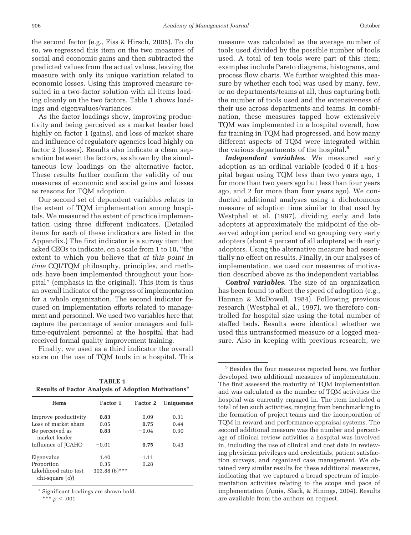the second factor (e.g., Fiss & Hirsch, 2005). To do so, we regressed this item on the two measures of social and economic gains and then subtracted the predicted values from the actual values, leaving the measure with only its unique variation related to economic losses. Using this improved measure resulted in a two-factor solution with all items loading cleanly on the two factors. Table 1 shows loadings and eigenvalues/variances.

As the factor loadings show, improving productivity and being perceived as a market leader load highly on factor 1 (gains), and loss of market share and influence of regulatory agencies load highly on factor 2 (losses). Results also indicate a clean separation between the factors, as shown by the simultaneous low loadings on the alternative factor. These results further confirm the validity of our measures of economic and social gains and losses as reasons for TQM adoption.

Our second set of dependent variables relates to the extent of TQM implementation among hospitals. We measured the extent of practice implementation using three different indicators. (Detailed items for each of these indicators are listed in the Appendix.) The first indicator is a survey item that asked CEOs to indicate, on a scale from 1 to 10, "the extent to which you believe that *at this point in time* CQI/TQM philosophy, principles, and methods have been implemented throughout your hospital" (emphasis in the original). This item is thus an overall indicator of the progress of implementation for a whole organization. The second indicator focused on implementation efforts related to management and personnel. We used two variables here that capture the percentage of senior managers and fulltime-equivalent personnel at the hospital that had received formal quality improvement training.

Finally, we used as a third indicator the overall score on the use of TQM tools in a hospital. This

| <b>TABLE 1</b>                                                  |
|-----------------------------------------------------------------|
| Results of Factor Analysis of Adoption Motivations <sup>a</sup> |

| <b>Items</b>                                      | <b>Factor 1</b> | Factor 2 | Uniqueness |
|---------------------------------------------------|-----------------|----------|------------|
| Improve productivity                              | 0.83            | 0.09     | 0.31       |
| Loss of market share                              | 0.05            | 0.75     | 0.44       |
| Be perceived as<br>market leader                  | 0.83            | $-0.04$  | 0.30       |
| Influence of JCAHO                                | $-0.01$         | 0.75     | 0.43       |
| Eigenvalue                                        | 1.40            | 1.11     |            |
| Proportion                                        | 0.35            | 0.28     |            |
| Likelihood ratio test<br>chi-square ( <i>df</i> ) | $303.88(6)$ *** |          |            |
|                                                   |                 |          |            |

<sup>a</sup> Significant loadings are shown bold. \*\*\*  $p < .001$ 

measure was calculated as the average number of tools used divided by the possible number of tools used. A total of ten tools were part of this item; examples include Pareto diagrams, histograms, and process flow charts. We further weighted this measure by whether each tool was used by many, few, or no departments/teams at all, thus capturing both the number of tools used and the extensiveness of their use across departments and teams. In combination, these measures tapped how extensively TQM was implemented in a hospital overall, how far training in TQM had progressed, and how many different aspects of TQM were integrated within the various departments of the hospital.<sup>5</sup>

*Independent variables.* We measured early adoption as an ordinal variable (coded 0 if a hospital began using TQM less than two years ago, 1 for more than two years ago but less than four years ago, and 2 for more than four years ago). We conducted additional analyses using a dichotomous measure of adoption time similar to that used by Westphal et al. (1997), dividing early and late adopters at approximately the midpoint of the observed adoption period and so grouping very early adopters (about 4 percent of all adopters) with early adopters. Using the alternative measure had essentially no effect on results. Finally, in our analyses of implementation, we used our measures of motivation described above as the independent variables.

*Control variables.* The size of an organization has been found to affect the speed of adoption (e.g., Hannan & McDowell, 1984). Following previous research (Westphal et al., 1997), we therefore controlled for hospital size using the total number of staffed beds. Results were identical whether we used this untransformed measure or a logged measure. Also in keeping with previous research, we

<sup>5</sup> Besides the four measures reported here, we further developed two additional measures of implementation. The first assessed the maturity of TQM implementation and was calculated as the number of TQM activities the hospital was currently engaged in. The item included a total of ten such activities, ranging from benchmarking to the formation of project teams and the incorporation of TQM in reward and performance-appraisal systems. The second additional measure was the number and percentage of clinical review activities a hospital was involved in, including the use of clinical and cost data in reviewing physician privileges and credentials, patient satisfaction surveys, and organized case management. We obtained very similar results for these additional measures, indicating that we captured a broad spectrum of implementation activities relating to the scope and pace of implementation (Amis, Slack, & Hinings, 2004). Results are available from the authors on request.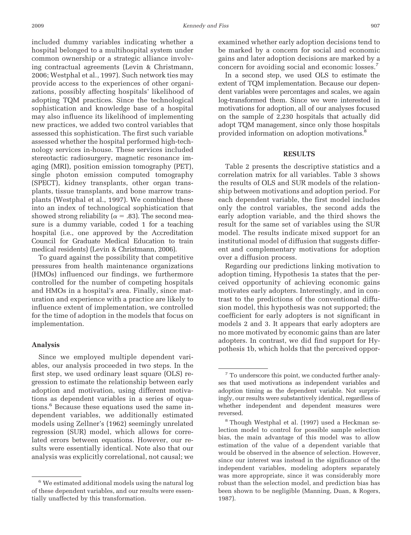included dummy variables indicating whether a hospital belonged to a multihospital system under common ownership or a strategic alliance involving contractual agreements (Levin & Christmann, 2006; Westphal et al., 1997). Such network ties may provide access to the experiences of other organizations, possibly affecting hospitals' likelihood of adopting TQM practices. Since the technological sophistication and knowledge base of a hospital may also influence its likelihood of implementing new practices, we added two control variables that assessed this sophistication. The first such variable assessed whether the hospital performed high-technology services in-house. These services included stereotactic radiosurgery, magnetic resonance imaging (MRI), position emission tomography (PET), single photon emission computed tomography (SPECT), kidney transplants, other organ transplants, tissue transplants, and bone marrow transplants (Westphal et al., 1997). We combined these into an index of technological sophistication that showed strong reliability ( $\alpha = .83$ ). The second measure is a dummy variable, coded 1 for a teaching hospital (i.e., one approved by the Accreditation Council for Graduate Medical Education to train medical residents) (Levin & Christmann, 2006).

To guard against the possibility that competitive pressures from health maintenance organizations (HMOs) influenced our findings, we furthermore controlled for the number of competing hospitals and HMOs in a hospital's area. Finally, since maturation and experience with a practice are likely to influence extent of implementation, we controlled for the time of adoption in the models that focus on implementation.

#### **Analysis**

Since we employed multiple dependent variables, our analysis proceeded in two steps. In the first step, we used ordinary least square (OLS) regression to estimate the relationship between early adoption and motivation, using different motivations as dependent variables in a series of equations.<sup>6</sup> Because these equations used the same independent variables, we additionally estimated models using Zellner's (1962) seemingly unrelated regression (SUR) model, which allows for correlated errors between equations. However, our results were essentially identical. Note also that our analysis was explicitly correlational, not causal; we

<sup>6</sup> We estimated additional models using the natural log of these dependent variables, and our results were essentially unaffected by this transformation.

examined whether early adoption decisions tend to be marked by a concern for social and economic gains and later adoption decisions are marked by a concern for avoiding social and economic losses.7

In a second step, we used OLS to estimate the extent of TQM implementation. Because our dependent variables were percentages and scales, we again log-transformed them. Since we were interested in motivations for adoption, all of our analyses focused on the sample of 2,230 hospitals that actually did adopt TQM management, since only those hospitals provided information on adoption motivations.<sup>8</sup>

#### **RESULTS**

Table 2 presents the descriptive statistics and a correlation matrix for all variables. Table 3 shows the results of OLS and SUR models of the relationship between motivations and adoption period. For each dependent variable, the first model includes only the control variables, the second adds the early adoption variable, and the third shows the result for the same set of variables using the SUR model. The results indicate mixed support for an institutional model of diffusion that suggests different and complementary motivations for adoption over a diffusion process.

Regarding our predictions linking motivation to adoption timing, Hypothesis 1a states that the perceived opportunity of achieving economic gains motivates early adopters. Interestingly, and in contrast to the predictions of the conventional diffusion model, this hypothesis was not supported; the coefficient for early adopters is not significant in models 2 and 3. It appears that early adopters are no more motivated by economic gains than are later adopters. In contrast, we did find support for Hypothesis 1b, which holds that the perceived oppor-

<sup>7</sup> To underscore this point, we conducted further analyses that used motivations as independent variables and adoption timing as the dependent variable. Not surprisingly, our results were substantively identical, regardless of whether independent and dependent measures were reversed.

<sup>8</sup> Though Westphal et al. (1997) used a Heckman selection model to control for possible sample selection bias, the main advantage of this model was to allow estimation of the value of a dependent variable that would be observed in the absence of selection. However, since our interest was instead in the significance of the independent variables, modeling adopters separately was more appropriate, since it was considerably more robust than the selection model, and prediction bias has been shown to be negligible (Manning, Duan, & Rogers, 1987).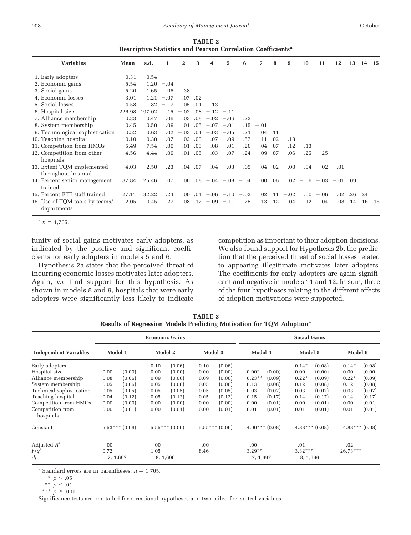| TABLE 2                                                                  |  |
|--------------------------------------------------------------------------|--|
| Descriptive Statistics and Pearson Correlation Coefficients <sup>a</sup> |  |

| <b>Variables</b>                                  | Mean   | s.d.   | 1       | $\mathbf{2}$ | 3   | 4                         | 5                                     | 6   | 7                   | 8           | 9      | 10               | 11     | 12                          | 13               | 14 15 |  |
|---------------------------------------------------|--------|--------|---------|--------------|-----|---------------------------|---------------------------------------|-----|---------------------|-------------|--------|------------------|--------|-----------------------------|------------------|-------|--|
| 1. Early adopters                                 | 0.31   | 0.54   |         |              |     |                           |                                       |     |                     |             |        |                  |        |                             |                  |       |  |
| 2. Economic gains                                 | 5.54   | 1.20   | $-.04$  |              |     |                           |                                       |     |                     |             |        |                  |        |                             |                  |       |  |
| 3. Social gains                                   | 5.20   | 1.65   | .06     | .38          |     |                           |                                       |     |                     |             |        |                  |        |                             |                  |       |  |
| 4. Economic losses                                | 3.01   | 1.21   | $-.07$  | .07          | .02 |                           |                                       |     |                     |             |        |                  |        |                             |                  |       |  |
| 5. Social losses                                  | 4.58   | 1.82   | $-.17$  | .05          | .01 | .13                       |                                       |     |                     |             |        |                  |        |                             |                  |       |  |
| 6. Hospital size                                  | 226.98 | 197.02 | .15     | $-.02$       | .08 |                           | $-.12 - .11$                          |     |                     |             |        |                  |        |                             |                  |       |  |
| 7. Alliance membership                            | 0.33   | 0.47   | .06     | .03          |     | $.08 - .02 - .06$         |                                       | .23 |                     |             |        |                  |        |                             |                  |       |  |
| 8. System membership                              | 0.45   | 0.50   | .09     | .01          |     | $.05 - .07 - .01$         |                                       | .15 | $-.01$              |             |        |                  |        |                             |                  |       |  |
| 9. Technological sophistication                   | 0.52   | 0.63   | $.02\,$ | $-.03$       |     | $.01 - .03 - .05$         |                                       | .21 | .04                 | .11         |        |                  |        |                             |                  |       |  |
| 10. Teaching hospital                             | 0.10   | 0.30   | .07     | $-.02$       | .03 |                           | $-.07-.09$                            | .57 | .11                 | .02         | .18    |                  |        |                             |                  |       |  |
| 11. Competition from HMOs                         | 5.49   | 7.54   | .00.    | .01          | .03 | .08                       | .01                                   | .20 | .04                 | .07         | .12    | .13              |        |                             |                  |       |  |
| 12. Competition from other<br>hospitals           | 4.56   | 4.44   | .06     | .01          | .05 | .03                       | $-.07$                                | .24 | .09                 | .07         | .06    | .25              | .25    |                             |                  |       |  |
| 13. Extent TQM implemented<br>throughout hospital | 4.03   | 2.50   | .23     | .04          |     | $.07 - .04$               | .03                                   |     | $-.05$ $-.04$ $.02$ |             |        | $.00 - .04$      | .02    | .01                         |                  |       |  |
| 14. Percent senior management<br>trained          | 87.84  | 25.46  | .07     |              |     |                           | $.06 \t .08 - .04 - .08 - .04$        |     |                     | $.00$ . 00. |        |                  |        | $.02 - .06 - .03 - .01$ .09 |                  |       |  |
| 15. Percent FTE staff trained                     | 27.11  | 32.22  | .24     |              |     |                           | $0.00$ $0.04$ $-0.06$ $-0.10$ $-0.03$ |     |                     | $.02$ $.11$ | $-.02$ | .00 <sub>1</sub> | $-.06$ | $.02\,$                     | .26              | .24   |  |
| 16. Use of TQM tools by teams/<br>departments     | 2.05   | 0.45   | .27     |              |     | $.08$ $.12$ $-.09$ $-.11$ |                                       | .25 |                     | $.13$ $.12$ | .04    | .12              | .04    |                             | .08. 14. 16. 08. |       |  |

 $n = 1,705$ .

tunity of social gains motivates early adopters, as indicated by the positive and significant coefficients for early adopters in models 5 and 6.

Hypothesis 2a states that the perceived threat of incurring economic losses motivates later adopters. Again, we find support for this hypothesis. As shown in models 8 and 9, hospitals that were early adopters were significantly less likely to indicate

competition as important to their adoption decisions. We also found support for Hypothesis 2b, the prediction that the perceived threat of social losses related to appearing illegitimate motivates later adopters. The coefficients for early adopters are again significant and negative in models 11 and 12. In sum, three of the four hypotheses relating to the different effects of adoption motivations were supported.

**TABLE 3 Results of Regression Models Predicting Motivation for TQM Adoptiona**

|                               |          |                  |         | <b>Economic Gains</b> |         |                 |                  |        | <b>Social Gains</b> |                  |            |                  |
|-------------------------------|----------|------------------|---------|-----------------------|---------|-----------------|------------------|--------|---------------------|------------------|------------|------------------|
| <b>Independent Variables</b>  | Model 1  |                  |         | Model 2               |         | Model 3         | Model 4          |        | Model 5             |                  | Model 6    |                  |
| Early adopters                |          |                  | $-0.10$ | (0.06)                | $-0.10$ | (0.06)          |                  |        | $0.14*$             | (0.08)           | $0.14*$    | (0.08)           |
| Hospital size                 | $-0.00$  | (0.00)           | $-0.00$ | (0.00)                | $-0.00$ | (0.00)          | $0.00*$          | (0.00) | 0.00                | (0.00)           | 0.00       | (0.00)           |
| Alliance membership           | 0.08     | (0.06)           | 0.09    | (0.06)                | 0.09    | (0.06)          | $0.23**$         | (0.09) | $0.22*$             | (0.09)           | $0.22*$    | (0.09)           |
| System membership             | 0.05     | (0.06)           | 0.05    | (0.06)                | 0.05    | (0.06)          | 0.13             | (0.08) | 0.12                | (0.08)           | 0.12       | (0.08)           |
| Technical sophistication      | $-0.05$  | (0.05)           | $-0.05$ | (0.05)                | $-0.05$ | (0.05)          | $-0.03$          | (0.07) | $-0.03$             | (0.07)           | $-0.03$    | (0.07)           |
| Teaching hospital             | $-0.04$  | (0.12)           | $-0.05$ | (0.12)                | $-0.05$ | (0.12)          | $-0.15$          | (0.17) | $-0.14$             | (0.17)           | $-0.14$    | (0.17)           |
| Competition from HMOs         | 0.00     | (0.00)           | 0.00    | (0.00)                | 0.00    | (0.00)          | 0.00             | (0.01) | 0.00                | (0.01)           | 0.00       | (0.01)           |
| Competition from<br>hospitals | 0.00     | (0.01)           | 0.00    | (0.01)                | 0.00    | (0.01)          | 0.01             | (0.01) | 0.01                | (0.01)           | 0.01       | (0.01)           |
| Constant                      |          | $5.53***$ (0.06) |         | $5.55***(0.06)$       |         | $5.55***(0.06)$ | $4.90***$ (0.08) |        |                     | $4.88***$ (0.08) |            | $4.88***$ (0.08) |
| Adjusted $R^2$                | .00.     |                  | .00.    |                       | .00.    |                 | .00.             |        | .01                 |                  | .02        |                  |
| $F/\chi^2$                    | 0.72     |                  | 1.05    |                       | 8.46    |                 | $3.29**$         |        | $3.32***$           |                  | $26.73***$ |                  |
| df                            | 7, 1,697 |                  |         | 8, 1, 696             |         |                 | 7, 1,697         |        | 8, 1,696            |                  |            |                  |

<sup>a</sup> Standard errors are in parentheses;  $n = 1,705$ .

 $*$  *p*  $\leq .05$ 

\*\*  $p \le .01$ 

\*\*\*  $p \leq .001$ 

Significance tests are one-tailed for directional hypotheses and two-tailed for control variables.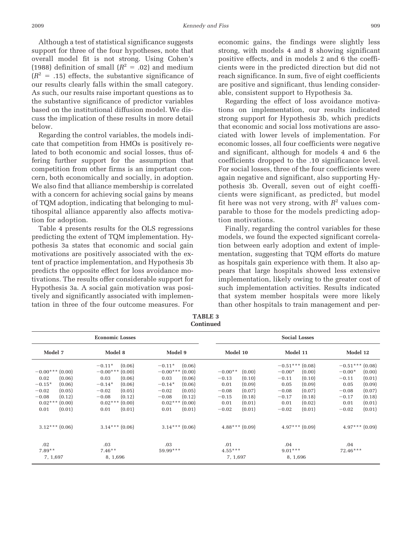Although a test of statistical significance suggests support for three of the four hypotheses, note that overall model fit is not strong. Using Cohen's (1988) definition of small  $(R^2 = .02)$  and medium  $(R<sup>2</sup> = .15)$  effects, the substantive significance of our results clearly falls within the small category. As such, our results raise important questions as to the substantive significance of predictor variables based on the institutional diffusion model. We discuss the implication of these results in more detail below.

Regarding the control variables, the models indicate that competition from HMOs is positively related to both economic and social losses, thus offering further support for the assumption that competition from other firms is an important concern, both economically and socially, in adoption. We also find that alliance membership is correlated with a concern for achieving social gains by means of TQM adoption, indicating that belonging to multihospital alliance apparently also affects motivation for adoption.

Table 4 presents results for the OLS regressions predicting the extent of TQM implementation. Hypothesis 3a states that economic and social gain motivations are positively associated with the extent of practice implementation, and Hypothesis 3b predicts the opposite effect for loss avoidance motivations. The results offer considerable support for Hypothesis 3a. A social gain motivation was positively and significantly associated with implementation in three of the four outcome measures. For economic gains, the findings were slightly less strong, with models 4 and 8 showing significant positive effects, and in models 2 and 6 the coefficients were in the predicted direction but did not reach significance. In sum, five of eight coefficients are positive and significant, thus lending considerable, consistent support to Hypothesis 3a.

Regarding the effect of loss avoidance motivations on implementation, our results indicated strong support for Hypothesis 3b, which predicts that economic and social loss motivations are associated with lower levels of implementation. For economic losses, all four coefficients were negative and significant, although for models 4 and 6 the coefficients dropped to the .10 significance level. For social losses, three of the four coefficients were again negative and significant, also supporting Hypothesis 3b. Overall, seven out of eight coefficients were significant, as predicted, but model fit here was not very strong, with  $R^2$  values comparable to those for the models predicting adoption motivations.

Finally, regarding the control variables for these models, we found the expected significant correlation between early adoption and extent of implementation, suggesting that TQM efforts do mature as hospitals gain experience with them. It also appears that large hospitals showed less extensive implementation, likely owing to the greater cost of such implementation activities. Results indicated that system member hospitals were more likely than other hospitals to train management and per-

**TABLE 3 Continued**

|                                                                                                                                           | <b>Economic Losses</b>                                                                                                                                           |                                                                                                                                                                  |                                                                                                                                             | <b>Social Losses</b>                                                                                                                                            |                                                                                                                                                                 |
|-------------------------------------------------------------------------------------------------------------------------------------------|------------------------------------------------------------------------------------------------------------------------------------------------------------------|------------------------------------------------------------------------------------------------------------------------------------------------------------------|---------------------------------------------------------------------------------------------------------------------------------------------|-----------------------------------------------------------------------------------------------------------------------------------------------------------------|-----------------------------------------------------------------------------------------------------------------------------------------------------------------|
| Model 7                                                                                                                                   | Model 8                                                                                                                                                          | Model 9                                                                                                                                                          | Model 10                                                                                                                                    | Model 11                                                                                                                                                        | Model 12                                                                                                                                                        |
| $-0.00***$ (0.00)<br>0.02<br>(0.06)<br>(0.06)<br>$-0.15*$<br>$-0.02$<br>(0.05)<br>$-0.08$<br>(0.12)<br>$0.02***$ (0.00)<br>(0.01)<br>0.01 | (0.06)<br>$-0.11*$<br>$-0.00$ *** (0.00)<br>(0.06)<br>0.03<br>(0.06)<br>$-0.14*$<br>(0.05)<br>$-0.02$<br>(0.12)<br>$-0.08$<br>$0.02***$ (0.00)<br>(0.01)<br>0.01 | (0.06)<br>$-0.11*$<br>$-0.00$ *** (0.00)<br>0.03<br>(0.06)<br>(0.06)<br>$-0.14*$<br>(0.05)<br>$-0.02$<br>(0.12)<br>$-0.08$<br>$0.02***$ (0.00)<br>(0.01)<br>0.01 | $-0.00**$<br>(0.00)<br>(0.10)<br>$-0.13$<br>0.01<br>(0.09)<br>(0.07)<br>$-0.08$<br>(0.18)<br>$-0.15$<br>(0.01)<br>0.01<br>(0.01)<br>$-0.02$ | $-0.51***$ (0.08)<br>$-0.00*$<br>(0.00)<br>(0.10)<br>$-0.11$<br>(0.09)<br>0.05<br>(0.07)<br>$-0.08$<br>(0.18)<br>$-0.17$<br>(0.02)<br>0.01<br>(0.01)<br>$-0.02$ | $-0.51***$ (0.08)<br>(0.00)<br>$-0.00*$<br>(0.01)<br>$-0.11$<br>(0.09)<br>0.05<br>(0.07)<br>$-0.08$<br>(0.18)<br>$-0.17$<br>(0.01)<br>0.01<br>(0.01)<br>$-0.02$ |
| $3.12***$ (0.06)                                                                                                                          | $3.14***$ (0.06)                                                                                                                                                 | $3.14***$ (0.06)                                                                                                                                                 | $4.88***$ (0.09)                                                                                                                            | $4.97***$ (0.09)                                                                                                                                                | $4.97***$ (0.09)                                                                                                                                                |
| .02<br>$7.89**$<br>7, 1,697                                                                                                               | .03<br>$7.46**$<br>8, 1, 696                                                                                                                                     | .03<br>$59.99***$                                                                                                                                                | .01<br>$4.55***$<br>7, 1,697                                                                                                                | .04<br>$9.01***$<br>8, 1, 696                                                                                                                                   | .04<br>$72.46***$                                                                                                                                               |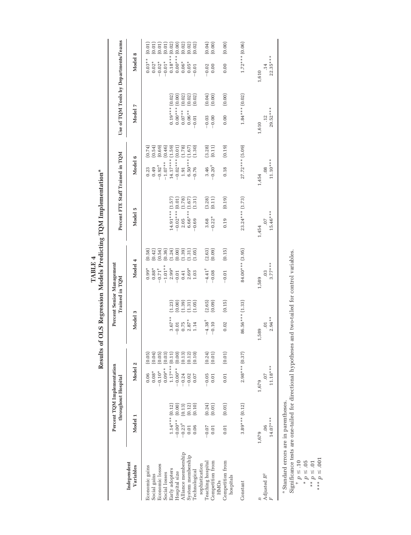$\label{eq:TS} \begin{array}{ll} \textbf{TABLE 4} & \textbf{1} & \textbf{2} \\ \textbf{Results of OLS Regression Models Predicting TQM Implementation}^a \end{array}$ **Results of OLS Regression Models Predicting TQM Implementationa TABLE 4**

|                                                                                                                                                                                                                                                                               | Percent TQM Implementation                                                                                                       | throughout Hospital                                       |                                                                                                                                   |                                                                                                            |                                                                                  | Trained in TQM                                                                   | Percent Senior Management                                                                                                                              |                                                                                                                         |                                                                                                      |                                                                  | Percent FTE Staff Trained in TQM                                                                                                 |                                                                                                                               |                                                            | Use of TQM Tools by Departments/Teams                                                                     |                                                                                                                                  |                                                                                                                       |
|-------------------------------------------------------------------------------------------------------------------------------------------------------------------------------------------------------------------------------------------------------------------------------|----------------------------------------------------------------------------------------------------------------------------------|-----------------------------------------------------------|-----------------------------------------------------------------------------------------------------------------------------------|------------------------------------------------------------------------------------------------------------|----------------------------------------------------------------------------------|----------------------------------------------------------------------------------|--------------------------------------------------------------------------------------------------------------------------------------------------------|-------------------------------------------------------------------------------------------------------------------------|------------------------------------------------------------------------------------------------------|------------------------------------------------------------------|----------------------------------------------------------------------------------------------------------------------------------|-------------------------------------------------------------------------------------------------------------------------------|------------------------------------------------------------|-----------------------------------------------------------------------------------------------------------|----------------------------------------------------------------------------------------------------------------------------------|-----------------------------------------------------------------------------------------------------------------------|
| Independent<br>Variables                                                                                                                                                                                                                                                      | Model 1                                                                                                                          |                                                           | Model 2                                                                                                                           |                                                                                                            | Model 3                                                                          |                                                                                  | Model 4                                                                                                                                                |                                                                                                                         | Model 5                                                                                              |                                                                  | Model 6                                                                                                                          |                                                                                                                               | Model 7                                                    |                                                                                                           | Model 8                                                                                                                          |                                                                                                                       |
| Alliance membership<br>System membership<br>Competition from<br>Competition from<br>Teaching hospital<br>Economic losses<br>sophistication<br>Economic gains<br>Early adopters<br>Technological<br>Hospital size<br>Social losses<br>Social gains<br>hospitals<br><b>HMOs</b> | (0.01)<br>$1.14***$ (0.12)<br>$-0.00**$ (0.00)<br>$(0.24)$<br>$(0.01)$<br>$-0.23^{+}$<br>$-0.07$<br>0.01<br>0.06<br>0.01<br>0.01 | $\begin{array}{c} (0.13) \\ (0.12) \\ (0.10) \end{array}$ | $1.17***$ (0.11)<br>$0.09**$<br>$-0.00**$<br>$-0.10*$<br>$0.08*$<br>0.06<br>$-0.24$<br>$-0.05$<br>0.01<br>$-0.02$<br>0.07<br>0.01 | (0.01)<br>(0.24)<br>$(0.13)$<br>$(0.12)$<br>$(0.10)$<br>(0.01)<br>(0.05)<br>$(0.04)$<br>$(0.05)$<br>(0.03) | $3.67**$<br>$2.87*$<br>$-4.38^{+}$<br>$-0.10$<br>0.75<br>0.02<br>1.14<br>$-0.01$ | (2.65)<br>(0.15)<br>(1.23)<br>(0.00)<br>(1.39)<br>$(1.31)$<br>$(1.05)$<br>(0.09) | $-1.01**$<br>$0.88*$<br>$2.99*$<br>$2.69*$<br>$-4.41$ <sup>+</sup><br>$0.99*$<br>$-0.71$ <sup>+</sup><br>$-0.08$<br>$-0.01$<br>1.03<br>$-0.01$<br>0.41 | (0.15)<br>(0.54)<br>(0.36)<br>(1.24)<br>(0.00)<br>39<br>131<br>11.05)<br>11.05)<br>(2.63)<br>(0.58)<br>(0.42)<br>(0.09) | $14.91***$ $(1.57)$<br>$-0.02***$ (0.01)<br>$6.66***$<br>$-0.22*$<br>0.19<br>2.05<br>$-0.69$<br>3.68 | (0.19)<br>$(1.78)$<br>$(1.67)$<br>$(3.28)$<br>$(0.11)$<br>(1.31) | $-0.02***$ (0.01)<br>$6.50***$<br>$-1.07**$<br>$-0.92^{+}$<br>$-0.20^{+}$<br>0.49<br>3.46<br>0.18<br>$1.91\,$<br>$-0.76$<br>0.23 | (0.19)<br>$14.17***$ (1.59)<br>(0.74)<br>$(0.54)$<br>$(0.69)$<br>(0.46)<br>$(1.78)$<br>$(1.67)$<br>(1.30)<br>(3.28)<br>(0.11) | $0.07**$<br>$0.06**$<br>0.00<br>$-0.03$<br>$-0.00$<br>0.01 | (0.00)<br>$0.19***$ $(0.02)$<br>$(0.04)$<br>$(0.00)$<br>$0.00**$ (0.00)<br>$(0.02)$<br>$(0.02)$<br>(0.02) | $0.18***$<br>$0.00**$<br>$0.03**$<br>$-0.01*$<br>$0.02*$<br>$-0.02*$<br>$0.06*$<br>$0.05*$<br>0.00<br>$-0.02$<br>0.00<br>$-0.01$ | (0.00)<br>$(0.04)$<br>$(0.00)$<br>(0.02)<br>(0.00)<br>0.02)<br>0.02)<br>0.02)<br>(0.01)<br>(0.01)<br>(0.01)<br>(0.01) |
| Constant                                                                                                                                                                                                                                                                      | $3.89***$ (0.12)                                                                                                                 |                                                           | $2.98***$ $(0.37)$                                                                                                                |                                                                                                            | $86.56***$ $(1.33)$                                                              |                                                                                  | $84.00***$ (3.95)                                                                                                                                      |                                                                                                                         | $23.24***$ (1.73)                                                                                    |                                                                  | $27.72***$ (5.09)                                                                                                                |                                                                                                                               |                                                            | $1.84***$ (0.02)                                                                                          | $1.72***$ (0.06)                                                                                                                 |                                                                                                                       |
| Adjusted $R^2$                                                                                                                                                                                                                                                                | $14.07***$<br>1,679                                                                                                              |                                                           | $11.18***$<br>1,679                                                                                                               |                                                                                                            | $2.94***$<br>5.<br>1,589                                                         |                                                                                  | $3.77***$<br>$\ddot{0}$<br>1,589                                                                                                                       |                                                                                                                         | $15.46***$<br>.07<br>1,454                                                                           |                                                                  | $11.10***$<br>08<br>1,454                                                                                                        |                                                                                                                               | $29.52***$<br>$\cdot$ 12<br>1,610                          |                                                                                                           | $22.35***$<br>1,610                                                                                                              |                                                                                                                       |
|                                                                                                                                                                                                                                                                               |                                                                                                                                  |                                                           |                                                                                                                                   |                                                                                                            |                                                                                  |                                                                                  |                                                                                                                                                        |                                                                                                                         |                                                                                                      |                                                                  |                                                                                                                                  |                                                                                                                               |                                                            |                                                                                                           |                                                                                                                                  |                                                                                                                       |

Standard errors are in parentheses.

Significance tests are one-tailed for directional hypotheses and two-tailed for control variables.

 $p \geq 0$ <br>  $p \geq 0$ <br>  $p \geq 0$ <br>  $p \geq 0$ <br>  $p \geq 0$ <br>  $p \geq 0$ 

 $p \leq 0.001$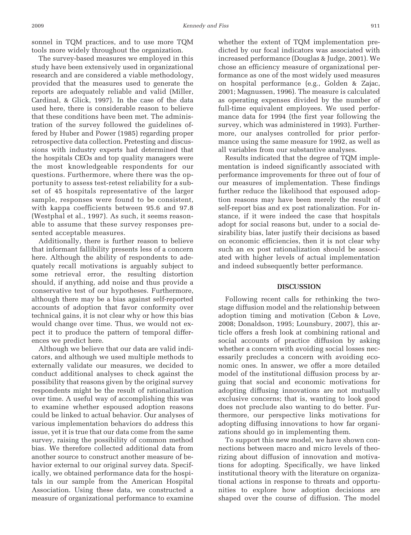sonnel in TQM practices, and to use more TQM tools more widely throughout the organization.

The survey-based measures we employed in this study have been extensively used in organizational research and are considered a viable methodology, provided that the measures used to generate the reports are adequately reliable and valid (Miller, Cardinal, & Glick, 1997). In the case of the data used here, there is considerable reason to believe that these conditions have been met. The administration of the survey followed the guidelines offered by Huber and Power (1985) regarding proper retrospective data collection. Pretesting and discussions with industry experts had determined that the hospitals CEOs and top quality managers were the most knowledgeable respondents for our questions. Furthermore, where there was the opportunity to assess test-retest reliability for a subset of 45 hospitals representative of the larger sample, responses were found to be consistent, with kappa coefficients between 95.6 and 97.8 (Westphal et al., 1997). As such, it seems reasonable to assume that these survey responses presented acceptable measures.

Additionally, there is further reason to believe that informant fallibility presents less of a concern here. Although the ability of respondents to adequately recall motivations is arguably subject to some retrieval error, the resulting distortion should, if anything, add noise and thus provide a conservative test of our hypotheses. Furthermore, although there may be a bias against self-reported accounts of adoption that favor conformity over technical gains, it is not clear why or how this bias would change over time. Thus, we would not expect it to produce the pattern of temporal differences we predict here.

Although we believe that our data are valid indicators, and although we used multiple methods to externally validate our measures, we decided to conduct additional analyses to check against the possibility that reasons given by the original survey respondents might be the result of rationalization over time. A useful way of accomplishing this was to examine whether espoused adoption reasons could be linked to actual behavior. Our analyses of various implementation behaviors do address this issue, yet it is true that our data come from the same survey, raising the possibility of common method bias. We therefore collected additional data from another source to construct another measure of behavior external to our original survey data. Specifically, we obtained performance data for the hospitals in our sample from the American Hospital Association. Using these data, we constructed a measure of organizational performance to examine

whether the extent of TQM implementation predicted by our focal indicators was associated with increased performance (Douglas & Judge, 2001). We chose an efficiency measure of organizational performance as one of the most widely used measures on hospital performance (e.g., Golden & Zajac, 2001; Magnussen, 1996). The measure is calculated as operating expenses divided by the number of full-time equivalent employees. We used performance data for 1994 (the first year following the survey, which was administered in 1993). Furthermore, our analyses controlled for prior performance using the same measure for 1992, as well as all variables from our substantive analyses.

Results indicated that the degree of TQM implementation is indeed significantly associated with performance improvements for three out of four of our measures of implementation. These findings further reduce the likelihood that espoused adoption reasons may have been merely the result of self-report bias and ex post rationalization. For instance, if it were indeed the case that hospitals adopt for social reasons but, under to a social desirability bias, later justify their decisions as based on economic efficiencies, then it is not clear why such an ex post rationalization should be associated with higher levels of actual implementation and indeed subsequently better performance.

#### **DISCUSSION**

Following recent calls for rethinking the twostage diffusion model and the relationship between adoption timing and motivation (Cebon & Love, 2008; Donaldson, 1995; Lounsbury, 2007), this article offers a fresh look at combining rational and social accounts of practice diffusion by asking whether a concern with avoiding social losses necessarily precludes a concern with avoiding economic ones. In answer, we offer a more detailed model of the institutional diffusion process by arguing that social and economic motivations for adopting diffusing innovations are not mutually exclusive concerns; that is, wanting to look good does not preclude also wanting to do better. Furthermore, our perspective links motivations for adopting diffusing innovations to how far organizations should go in implementing them.

To support this new model, we have shown connections between macro and micro levels of theorizing about diffusion of innovation and motivations for adopting. Specifically, we have linked institutional theory with the literature on organizational actions in response to threats and opportunities to explore how adoption decisions are shaped over the course of diffusion. The model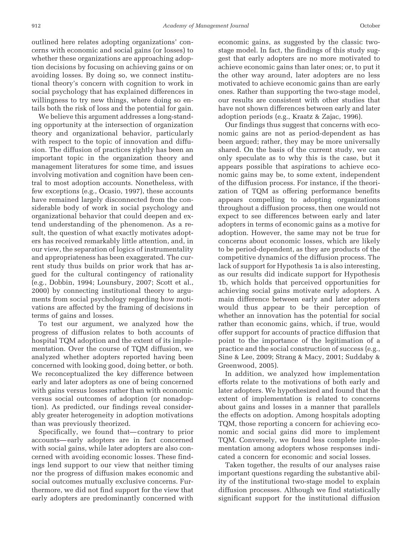outlined here relates adopting organizations' concerns with economic and social gains (or losses) to whether these organizations are approaching adoption decisions by focusing on achieving gains or on avoiding losses. By doing so, we connect institutional theory's concern with cognition to work in social psychology that has explained differences in willingness to try new things, where doing so entails both the risk of loss and the potential for gain.

We believe this argument addresses a long-standing opportunity at the intersection of organization theory and organizational behavior, particularly with respect to the topic of innovation and diffusion. The diffusion of practices rightly has been an important topic in the organization theory and management literatures for some time, and issues involving motivation and cognition have been central to most adoption accounts. Nonetheless, with few exceptions (e.g., Ocasio, 1997), these accounts have remained largely disconnected from the considerable body of work in social psychology and organizational behavior that could deepen and extend understanding of the phenomenon. As a result, the question of what exactly motivates adopters has received remarkably little attention, and, in our view, the separation of logics of instrumentality and appropriateness has been exaggerated. The current study thus builds on prior work that has argued for the cultural contingency of rationality (e.g., Dobbin, 1994; Lounsbury, 2007; Scott et al., 2000) by connecting institutional theory to arguments from social psychology regarding how motivations are affected by the framing of decisions in terms of gains and losses.

To test our argument, we analyzed how the progress of diffusion relates to both accounts of hospital TQM adoption and the extent of its implementation. Over the course of TQM diffusion, we analyzed whether adopters reported having been concerned with looking good, doing better, or both. We reconceptualized the key difference between early and later adopters as one of being concerned with gains versus losses rather than with economic versus social outcomes of adoption (or nonadoption). As predicted, our findings reveal considerably greater heterogeneity in adoption motivations than was previously theorized.

Specifically, we found that—contrary to prior accounts—early adopters are in fact concerned with social gains, while later adopters are also concerned with avoiding economic losses. These findings lend support to our view that neither timing nor the progress of diffusion makes economic and social outcomes mutually exclusive concerns. Furthermore, we did not find support for the view that early adopters are predominantly concerned with

economic gains, as suggested by the classic twostage model. In fact, the findings of this study suggest that early adopters are no more motivated to achieve economic gains than later ones; or, to put it the other way around, later adopters are no less motivated to achieve economic gains than are early ones. Rather than supporting the two-stage model, our results are consistent with other studies that have not shown differences between early and later adoption periods (e.g., Kraatz & Zajac, 1996).

Our findings thus suggest that concerns with economic gains are not as period-dependent as has been argued; rather, they may be more universally shared. On the basis of the current study, we can only speculate as to why this is the case, but it appears possible that aspirations to achieve economic gains may be, to some extent, independent of the diffusion process. For instance, if the theorization of TQM as offering performance benefits appears compelling to adopting organizations throughout a diffusion process, then one would not expect to see differences between early and later adopters in terms of economic gains as a motive for adoption. However, the same may not be true for concerns about economic losses, which are likely to be period-dependent, as they are products of the competitive dynamics of the diffusion process. The lack of support for Hypothesis 1a is also interesting, as our results did indicate support for Hypothesis 1b, which holds that perceived opportunities for achieving social gains motivate early adopters. A main difference between early and later adopters would thus appear to be their perception of whether an innovation has the potential for social rather than economic gains, which, if true, would offer support for accounts of practice diffusion that point to the importance of the legitimation of a practice and the social construction of success (e.g., Sine & Lee, 2009; Strang & Macy, 2001; Suddaby & Greenwood, 2005).

In addition, we analyzed how implementation efforts relate to the motivations of both early and later adopters. We hypothesized and found that the extent of implementation is related to concerns about gains and losses in a manner that parallels the effects on adoption. Among hospitals adopting TQM, those reporting a concern for achieving economic and social gains did more to implement TQM. Conversely, we found less complete implementation among adopters whose responses indicated a concern for economic and social losses.

Taken together, the results of our analyses raise important questions regarding the substantive ability of the institutional two-stage model to explain diffusion processes. Although we find statistically significant support for the institutional diffusion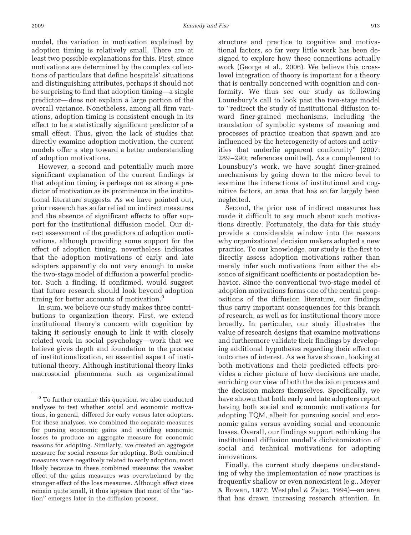model, the variation in motivation explained by adoption timing is relatively small. There are at least two possible explanations for this. First, since motivations are determined by the complex collections of particulars that define hospitals' situations and distinguishing attributes, perhaps it should not be surprising to find that adoption timing—a single predictor—does not explain a large portion of the overall variance. Nonetheless, among all firm variations, adoption timing is consistent enough in its effect to be a statistically significant predictor of a small effect. Thus, given the lack of studies that directly examine adoption motivation, the current models offer a step toward a better understanding of adoption motivations.

However, a second and potentially much more significant explanation of the current findings is that adoption timing is perhaps not as strong a predictor of motivation as its prominence in the institutional literature suggests. As we have pointed out, prior research has so far relied on indirect measures and the absence of significant effects to offer support for the institutional diffusion model. Our direct assessment of the predictors of adoption motivations, although providing some support for the effect of adoption timing, nevertheless indicates that the adoption motivations of early and late adopters apparently do not vary enough to make the two-stage model of diffusion a powerful predictor. Such a finding, if confirmed, would suggest that future research should look beyond adoption timing for better accounts of motivation.<sup>9</sup>

In sum, we believe our study makes three contributions to organization theory. First, we extend institutional theory's concern with cognition by taking it seriously enough to link it with closely related work in social psychology—work that we believe gives depth and foundation to the process of institutionalization, an essential aspect of institutional theory. Although institutional theory links macrosocial phenomena such as organizational

structure and practice to cognitive and motivational factors, so far very little work has been designed to explore how these connections actually work (George et al., 2006). We believe this crosslevel integration of theory is important for a theory that is centrally concerned with cognition and conformity. We thus see our study as following Lounsbury's call to look past the two-stage model to "redirect the study of institutional diffusion toward finer-grained mechanisms, including the translation of symbolic systems of meaning and processes of practice creation that spawn and are influenced by the heterogeneity of actors and activities that underlie apparent conformity" (2007: 289–290; references omitted). As a complement to Lounsbury's work, we have sought finer-grained mechanisms by going down to the micro level to examine the interactions of institutional and cognitive factors, an area that has so far largely been neglected.

Second, the prior use of indirect measures has made it difficult to say much about such motivations directly. Fortunately, the data for this study provide a considerable window into the reasons why organizational decision makers adopted a new practice. To our knowledge, our study is the first to directly assess adoption motivations rather than merely infer such motivations from either the absence of significant coefficients or postadoption behavior. Since the conventional two-stage model of adoption motivations forms one of the central propositions of the diffusion literature, our findings thus carry important consequences for this branch of research, as well as for institutional theory more broadly. In particular, our study illustrates the value of research designs that examine motivations and furthermore validate their findings by developing additional hypotheses regarding their effect on outcomes of interest. As we have shown, looking at both motivations and their predicted effects provides a richer picture of how decisions are made, enriching our view of both the decision process and the decision makers themselves. Specifically, we have shown that both early and late adopters report having both social and economic motivations for adopting TQM, albeit for pursuing social and economic gains versus avoiding social and economic losses. Overall, our findings support rethinking the institutional diffusion model's dichotomization of social and technical motivations for adopting innovations.

Finally, the current study deepens understanding of why the implementation of new practices is frequently shallow or even nonexistent (e.g., Meyer & Rowan, 1977; Westphal & Zajac, 1994)—an area that has drawn increasing research attention. In

<sup>&</sup>lt;sup>9</sup> To further examine this question, we also conducted analyses to test whether social and economic motivations, in general, differed for early versus later adopters. For these analyses, we combined the separate measures for pursing economic gains and avoiding economic losses to produce an aggregate measure for economic reasons for adopting. Similarly, we created an aggregate measure for social reasons for adopting. Both combined measures were negatively related to early adoption, most likely because in these combined measures the weaker effect of the gains measures was overwhelmed by the stronger effect of the loss measures. Although effect sizes remain quite small, it thus appears that most of the "action" emerges later in the diffusion process.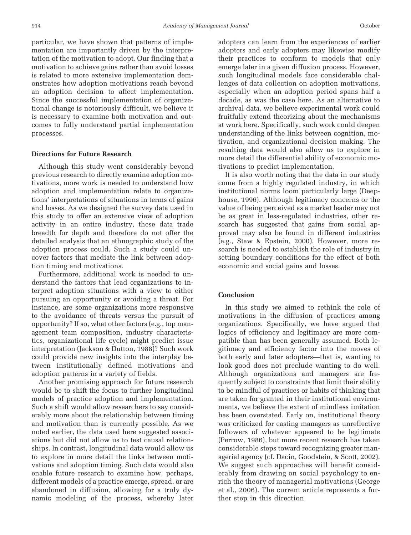particular, we have shown that patterns of implementation are importantly driven by the interpretation of the motivation to adopt. Our finding that a motivation to achieve gains rather than avoid losses is related to more extensive implementation demonstrates how adoption motivations reach beyond an adoption decision to affect implementation. Since the successful implementation of organizational change is notoriously difficult, we believe it is necessary to examine both motivation and outcomes to fully understand partial implementation processes.

#### **Directions for Future Research**

Although this study went considerably beyond previous research to directly examine adoption motivations, more work is needed to understand how adoption and implementation relate to organizations' interpretations of situations in terms of gains and losses. As we designed the survey data used in this study to offer an extensive view of adoption activity in an entire industry, these data trade breadth for depth and therefore do not offer the detailed analysis that an ethnographic study of the adoption process could. Such a study could uncover factors that mediate the link between adoption timing and motivations.

Furthermore, additional work is needed to understand the factors that lead organizations to interpret adoption situations with a view to either pursuing an opportunity or avoiding a threat. For instance, are some organizations more responsive to the avoidance of threats versus the pursuit of opportunity? If so, what other factors (e.g., top management team composition, industry characteristics, organizational life cycle) might predict issue interpretation (Jackson & Dutton, 1988)? Such work could provide new insights into the interplay between institutionally defined motivations and adoption patterns in a variety of fields.

Another promising approach for future research would be to shift the focus to further longitudinal models of practice adoption and implementation. Such a shift would allow researchers to say considerably more about the relationship between timing and motivation than is currently possible. As we noted earlier, the data used here suggested associations but did not allow us to test causal relationships. In contrast, longitudinal data would allow us to explore in more detail the links between motivations and adoption timing. Such data would also enable future research to examine how, perhaps, different models of a practice emerge, spread, or are abandoned in diffusion, allowing for a truly dynamic modeling of the process, whereby later adopters can learn from the experiences of earlier adopters and early adopters may likewise modify their practices to conform to models that only emerge later in a given diffusion process. However, such longitudinal models face considerable challenges of data collection on adoption motivations, especially when an adoption period spans half a decade, as was the case here. As an alternative to archival data, we believe experimental work could fruitfully extend theorizing about the mechanisms at work here. Specifically, such work could deepen understanding of the links between cognition, motivation, and organizational decision making. The resulting data would also allow us to explore in more detail the differential ability of economic motivations to predict implementation.

It is also worth noting that the data in our study come from a highly regulated industry, in which institutional norms loom particularly large (Deephouse, 1996). Although legitimacy concerns or the value of being perceived as a market leader may not be as great in less-regulated industries, other research has suggested that gains from social approval may also be found in different industries (e.g., Staw & Epstein, 2000). However, more research is needed to establish the role of industry in setting boundary conditions for the effect of both economic and social gains and losses.

#### **Conclusion**

In this study we aimed to rethink the role of motivations in the diffusion of practices among organizations. Specifically, we have argued that logics of efficiency and legitimacy are more compatible than has been generally assumed. Both legitimacy and efficiency factor into the moves of both early and later adopters—that is, wanting to look good does not preclude wanting to do well. Although organizations and managers are frequently subject to constraints that limit their ability to be mindful of practices or habits of thinking that are taken for granted in their institutional environments, we believe the extent of mindless imitation has been overstated. Early on, institutional theory was criticized for casting managers as unreflective followers of whatever appeared to be legitimate (Perrow, 1986), but more recent research has taken considerable steps toward recognizing greater managerial agency (cf. Dacin, Goodstein, & Scott, 2002). We suggest such approaches will benefit considerably from drawing on social psychology to enrich the theory of managerial motivations (George et al., 2006). The current article represents a further step in this direction.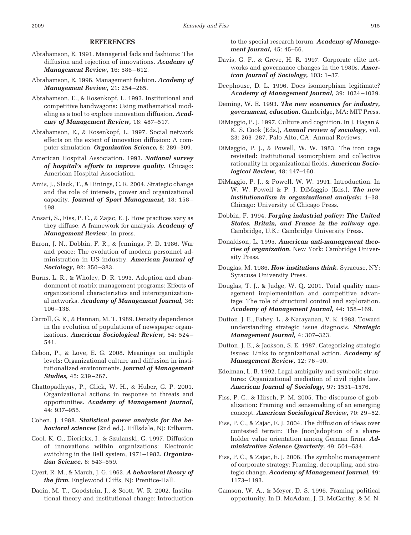#### **REFERENCES**

- Abrahamson, E. 1991. Managerial fads and fashions: The diffusion and rejection of innovations. *Academy of Management Review,* 16: 586–612.
- Abrahamson, E. 1996. Management fashion. *Academy of Management Review,* 21: 254–285.
- Abrahamson, E., & Rosenkopf, L. 1993. Institutional and competitive bandwagons: Using mathematical modeling as a tool to explore innovation diffusion. *Academy of Management Review,* 18: 487–517.
- Abrahamson, E., & Rosenkopf, L. 1997. Social network effects on the extent of innovation diffusion: A computer simulation. *Organization Science,* 8: 289–309.
- American Hospital Association. 1993. *National survey of hospital's efforts to improve quality.* Chicago: American Hospital Association.
- Amis, J., Slack, T., & Hinings, C. R. 2004. Strategic change and the role of interests, power and organizational capacity. *Journal of Sport Management,* 18: 158– 198.
- Ansari, S., Fiss, P. C., & Zajac, E. J. How practices vary as they diffuse: A framework for analysis. *Academy of Management Review*, in press.
- Baron, J. N., Dobbin, F. R., & Jennings, P. D. 1986. War and peace: The evolution of modern personnel administration in US industry. *American Journal of Sociology,* 92: 350–383.
- Burns, L. R., & Wholey, D. R. 1993. Adoption and abandonment of matrix management programs: Effects of organizational characteristics and interorganizational networks. *Academy of Management Journal,* 36: 106–138.
- Carroll, G. R., & Hannan, M. T. 1989. Density dependence in the evolution of populations of newspaper organizations. *American Sociological Review,* 54: 524– 541.
- Cebon, P., & Love, E. G. 2008. Meanings on multiple levels: Organizational culture and diffusion in institutionalized environments. *Journal of Management Studies,* 45: 239–267.
- Chattopadhyay, P., Glick, W. H., & Huber, G. P. 2001. Organizational actions in response to threats and opportunities. *Academy of Management Journal,* 44: 937–955.
- Cohen, J. 1988. *Statistical power analysis for the behavioral sciences* (2nd ed.). Hillsdale, NJ: Erlbaum.
- Cool, K. O., Dierickx, I., & Szulanski, G. 1997. Diffusion of innovations within organizations: Electronic switching in the Bell system, 1971–1982. *Organization Science,* 8: 543–559.
- Cyert, R. M., & March, J. G. 1963. *A behavioral theory of the firm.* Englewood Cliffs, NJ: Prentice-Hall.
- Dacin, M. T., Goodstein, J., & Scott, W. R. 2002. Institutional theory and institutional change: Introduction

to the special research forum. *Academy of Management Journal,* 45: 45–56.

- Davis, G. F., & Greve, H. R. 1997. Corporate elite networks and governance changes in the 1980s. *American Journal of Sociology,* 103: 1–37.
- Deephouse, D. L. 1996. Does isomorphism legitimate? *Academy of Management Journal,* 39: 1024–1039.
- Deming, W. E. 1993. *The new economics for industry, government, education.* Cambridge, MA: MIT Press.
- DiMaggio, P. J. 1997. Culture and cognition. In J. Hagan & K. S. Cook (Eds.), *Annual review of sociology,* vol. 23: 263–287. Palo Alto, CA: Annual Reviews.
- DiMaggio, P. J., & Powell, W. W. 1983. The iron cage revisited: Institutional isomorphism and collective rationality in organizational fields. *American Sociological Review,* 48: 147–160.
- DiMaggio, P. J., & Powell. W. W. 1991. Introduction. In W. W. Powell & P. J. DiMaggio (Eds.), *The new institutionalism in organizational analysis:* 1–38. Chicago: University of Chicago Press.
- Dobbin, F. 1994. *Forging industrial policy: The United States, Britain, and France in the railway age.* Cambridge, U.K.: Cambridge University Press.
- Donaldson, L. 1995. *American anti-management theories of organization.* New York: Cambridge University Press.
- Douglas, M. 1986. *How institutions think.* Syracuse, NY: Syracuse University Press.
- Douglas, T. J., & Judge, W. Q. 2001. Total quality management implementation and competitive advantage: The role of structural control and exploration. *Academy of Management Journal,* 44: 158–169.
- Dutton, J. E., Fahey, L., & Narayanan, V. K. 1983. Toward understanding strategic issue diagnosis. *Strategic Management Journal,* 4: 307–323.
- Dutton, J. E., & Jackson, S. E. 1987. Categorizing strategic issues: Links to organizational action. *Academy of Management Review,* 12: 76–90.
- Edelman, L. B. 1992. Legal ambiguity and symbolic structures: Organizational mediation of civil rights law. *American Journal of Sociology,* 97: 1531–1576.
- Fiss, P. C., & Hirsch, P. M. 2005. The discourse of globalization: Framing and sensemaking of an emerging concept. *American Sociological Review,* 70: 29–52.
- Fiss, P. C., & Zajac, E. J. 2004. The diffusion of ideas over contested terrain: The (non)adoption of a shareholder value orientation among German firms. *Administrative Science Quarterly,* 49: 501–534.
- Fiss, P. C., & Zajac, E. J. 2006. The symbolic management of corporate strategy: Framing, decoupling, and strategic change. *Academy of Management Journal,* 49: 1173–1193.
- Gamson, W. A., & Meyer, D. S. 1996. Framing political opportunity. In D. McAdam, J. D. McCarthy, & M. N.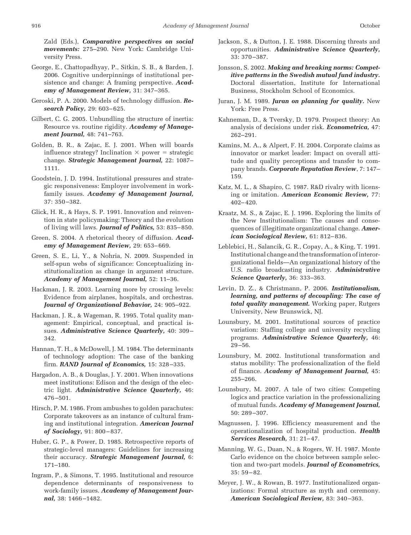Zald (Eds.), *Comparative perspectives on social movements:* 275–290. New York: Cambridge University Press.

- George, E., Chattopadhyay, P., Sitkin, S. B., & Barden, J. 2006. Cognitive underpinnings of institutional persistence and change: A framing perspective. *Academy of Management Review,* 31: 347–365.
- Geroski, P. A. 2000. Models of technology diffusion. *Research Policy,* 29: 603–625.
- Gilbert, C. G. 2005. Unbundling the structure of inertia: Resource vs. routine rigidity. *Academy of Management Journal,* 48: 741–763.
- Golden, B. R., & Zajac, E. J. 2001. When will boards influence strategy? Inclination  $\times$  power = strategic change. *Strategic Management Journal,* 22: 1087– 1111.
- Goodstein, J. D. 1994. Institutional pressures and strategic responsiveness: Employer involvement in workfamily issues. *Academy of Management Journal,* 37: 350–382.
- Glick, H. R., & Hays, S. P. 1991. Innovation and reinvention in state policymaking: Theory and the evolution of living will laws. *Journal of Politics,* 53: 835–850.
- Green, S. 2004. A rhetorical theory of diffusion. *Academy of Management Review,* 29: 653–669.
- Green, S. E., Li, Y., & Nohria, N. 2009. Suspended in self-spun webs of significance: Conceptualizing institutionalization as change in argument structure. *Academy of Management Journal,* 52: 11–36.
- Hackman, J. R. 2003. Learning more by crossing levels: Evidence from airplanes, hospitals, and orchestras. *Journal of Organizational Behavior,* 24: 905–922.
- Hackman, J. R., & Wageman, R. 1995. Total quality management: Empirical, conceptual, and practical issues. *Administrative Science Quarterly,* 40: 309– 342.
- Hannan, T. H., & McDowell, J. M. 1984. The determinants of technology adoption: The case of the banking firm. *RAND Journal of Economics,* 15: 328–335.
- Hargadon, A. B., & Douglas, J. Y. 2001. When innovations meet institutions: Edison and the design of the electric light. *Administrative Science Quarterly,* 46: 476–501.
- Hirsch, P. M. 1986. From ambushes to golden parachutes: Corporate takeovers as an instance of cultural framing and institutional integration. *American Journal of Sociology,* 91: 800–837.
- Huber, G. P., & Power, D. 1985. Retrospective reports of strategic-level managers: Guidelines for increasing their accuracy. *Strategic Management Journal,* 6: 171–180.
- Ingram, P., & Simons, T. 1995. Institutional and resource dependence determinants of responsiveness to work-family issues. *Academy of Management Journal,* 38: 1466–1482.
- Jackson, S., & Dutton, J. E. 1988. Discerning threats and opportunities. *Administrative Science Quarterly,* 33: 370–387.
- Jonsson, S. 2002. *Making and breaking norms: Competitive patterns in the Swedish mutual fund industry.* Doctoral dissertation, Institute for International Business, Stockholm School of Economics.
- Juran, J. M. 1989. *Juran on planning for quality.* New York: Free Press.
- Kahneman, D., & Tversky, D. 1979. Prospect theory: An analysis of decisions under risk. *Econometrica,* 47: 262–291.
- Kamins, M. A., & Alpert, F. H. 2004. Corporate claims as innovator or market leader: Impact on overall attitude and quality perceptions and transfer to company brands. *Corporate Reputation Review*, 7: 147– 159.
- Katz, M. L., & Shapiro, C. 1987. R&D rivalry with licensing or imitation. *American Economic Review,* 77: 402–420.
- Kraatz, M. S., & Zajac, E. J. 1996. Exploring the limits of the New Institutionalism: The causes and consequences of illegitimate organizational change. *American Sociological Review,* 61: 812–836.
- Leblebici, H., Salancik, G. R., Copay, A., & King, T. 1991. Institutional change and the transformation of interorganizational fields—An organizational history of the U.S. radio broadcasting industry. *Administrative Science Quarterly,* 36: 333–363.
- Levin, D. Z., & Christmann, P. 2006. *Institutionalism, learning, and patterns of decoupling: The case of total quality management.* Working paper, Rutgers University, New Brunswick, NJ.
- Lounsbury, M. 2001. Institutional sources of practice variation: Staffing college and university recycling programs. *Administrative Science Quarterly,* 46: 29–56.
- Lounsbury, M. 2002. Institutional transformation and status mobility: The professionalization of the field of finance. *Academy of Management Journal,* 45: 255–266.
- Lounsbury, M. 2007. A tale of two cities: Competing logics and practice variation in the professionalizing of mutual funds. *Academy of Management Journal,* 50: 289–307.
- Magnussen, J. 1996. Efficiency measurement and the operationalization of hospital production. *Health Services Research,* 31: 21–47.
- Manning, W. G., Duan, N., & Rogers, W. H. 1987. Monte Carlo evidence on the choice between sample selection and two-part models. *Journal of Econometrics,* 35: 59–82.
- Meyer, J. W., & Rowan, B. 1977. Institutionalized organizations: Formal structure as myth and ceremony. *American Sociological Review,* 83: 340–363.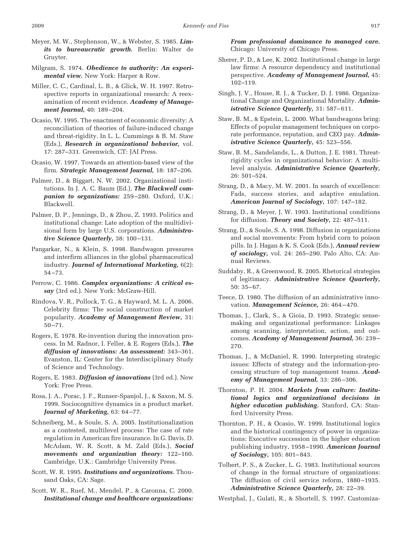- Meyer, M. W., Stephenson, W., & Webster, S. 1985. *Limits to bureaucratic growth.* Berlin: Walter de Gruyter.
- Milgram, S. 1974. *Obedience to authority: An experimental view.* New York: Harper & Row.
- Miller, C. C., Cardinal, L. B., & Glick, W. H. 1997. Retrospective reports in organizational research: A reexamination of recent evidence. *Academy of Management Journal,* 40: 189–204.
- Ocasio, W. 1995. The enactment of economic diversity: A reconciliation of theories of failure-induced change and threat-rigidity. In L. L. Cummings & B. M. Staw (Eds.), *Research in organizational behavior,* vol. 17: 287–331. Greenwich, CT: JAI Press.
- Ocasio, W. 1997. Towards an attention-based view of the firm. *Strategic Management Journal,* 18: 187–206.
- Palmer, D., & Biggart, N. W. 2002. Organizational institutions. In J. A. C. Baum (Ed.), *The Blackwell companion to organizations:* 259–280. Oxford, U.K.: Blackwell.
- Palmer, D. P., Jennings, D., & Zhou, Z. 1993. Politics and institutional change: Late adoption of the multidivisional form by large U.S. corporations. *Administrative Science Quarterly,* 38: 100–131.
- Pangarkar, N., & Klein, S. 1998. Bandwagon pressures and interfirm alliances in the global pharmaceutical industry. *Journal of International Marketing,* 6(2): 54–73.
- Perrow, C. 1986. *Complex organizations: A critical essay* (3rd ed.). New York: McGraw-Hill.
- Rindova, V. R., Pollock, T. G., & Hayward, M. L. A. 2006. Celebrity firms: The social construction of market popularity. *Academy of Management Review,* 31: 50–71.
- Rogers, E. 1978. Re-invention during the innovation process. In M. Radnor, I. Feller, & E. Rogers (Eds.), *The diffusion of innovations: An assessment:* 343–361. Evanston, IL: Center for the Interdisciplinary Study of Science and Technology.
- Rogers, E. 1983. *Diffusion of innovations* (3rd ed.). New York: Free Press.
- Rosa, J. A., Porac, J. F., Runser-Spanjol, J., & Saxon, M. S. 1999. Sociocognitive dynamics in a product market. *Journal of Marketing,* 63: 64–77.
- Schneiberg, M., & Soule, S. A. 2005. Institutionalization as a contested, multilevel process: The case of rate regulation in American fire insurance. In G. Davis, D. McAdam, W. R. Scott, & M. Zald (Eds.), *Social movements and organization theory:* 122–160. Cambridge, U.K.: Cambridge University Press.
- Scott, W. R. 1995. *Institutions and organizations.* Thousand Oaks, CA: Sage.
- Scott, W. R., Ruef, M., Mendel, P., & Caronna, C. 2000. *Institutional change and healthcare organizations:*

*From professional dominance to managed care.* Chicago: University of Chicago Press.

- Sherer, P. D., & Lee, K. 2002. Institutional change in large law firms: A resource dependency and institutional perspective. *Academy of Management Journal,* 45: 102–119.
- Singh, J. V., House, R. J., & Tucker, D. J. 1986. Organizational Change and Organizational Mortality. *Administrative Science Quarterly,* 31: 587–611.
- Staw, B. M., & Epstein, L. 2000. What bandwagons bring: Effects of popular management techniques on corporate performance, reputation, and CEO pay. *Administrative Science Quarterly,* 45: 523–556.
- Staw, B. M., Sandelands, L., & Dutton, J. E. 1981. Threatrigidity cycles in organizational behavior: A multilevel analysis. *Administrative Science Quarterly,* 26: 501–524.
- Strang, D., & Macy, M. W. 2001. In search of excellence: Fads, success stories, and adaptive emulation. *American Journal of Sociology,* 107: 147–182.
- Strang, D., & Meyer, J. W. 1993. Institutional conditions for diffusion. *Theory and Society,* 22: 487–511.
- Strang, D., & Soule, S. A. 1998. Diffusion in organizations and social movements: From hybrid corn to poison pills. In J. Hagan & K. S. Cook (Eds.), *Annual review of sociology,* vol. 24: 265–290. Palo Alto, CA: Annual Reviews.
- Suddaby, R., & Greenwood, R. 2005. Rhetorical strategies of legitimacy. *Administrative Science Quarterly,* 50: 35–67.
- Teece, D. 1980. The diffusion of an administrative innovation. *Management Science,* 26: 464–470.
- Thomas, J., Clark, S., & Gioia, D. 1993. Strategic sensemaking and organizational performance: Linkages among scanning, interpretation, action, and outcomes. *Academy of Management Journal,* 36: 239– 270.
- Thomas, J., & McDaniel, R. 1990. Interpreting strategic issues: Effects of strategy and the information-processing structure of top management teams. *Academy of Management Journal,* 33: 286–306.
- Thornton, P. H. 2004. *Markets from culture: Institutional logics and organizational decisions in higher education publishing.* Stanford, CA: Stanford University Press.
- Thornton, P. H., & Ocasio, W. 1999. Institutional logics and the historical contingency of power in organizations: Executive succession in the higher education publishing industry, 1958–1990. *American Journal of Sociology,* 105: 801–843.
- Tolbert, P. S., & Zucker, L. G. 1983. Institutional sources of change in the formal structure of organizations: The diffusion of civil service reform, 1880–1935. *Administrative Science Quarterly,* 28: 22–39.

Westphal, J., Gulati, R., & Shortell, S. 1997. Customiza-